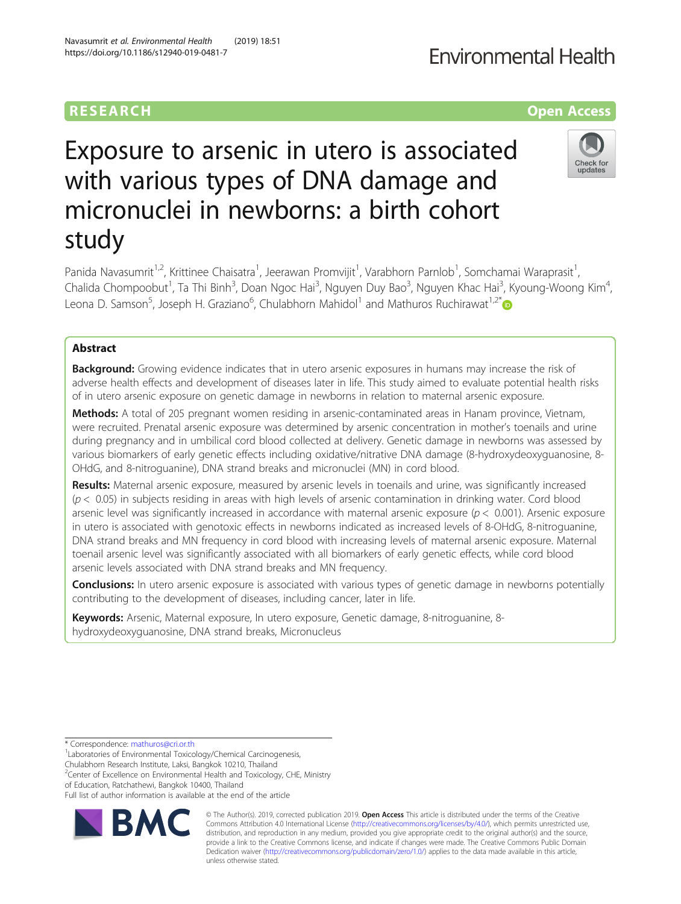# RESEARCH **RESEARCH CONSUMING ACCESS**

# Exposure to arsenic in utero is associated with various types of DNA damage and micronuclei in newborns: a birth cohort study

Panida Navasumrit<sup>1,2</sup>, Krittinee Chaisatra<sup>1</sup>, Jeerawan Promvijit<sup>1</sup>, Varabhorn Parnlob<sup>1</sup>, Somchamai Waraprasit<sup>1</sup> , Chalida Chompoobut<sup>1</sup>, Ta Thi Binh<sup>3</sup>, Doan Ngoc Hai<sup>3</sup>, Nguyen Duy Bao<sup>3</sup>, Nguyen Khac Hai<sup>3</sup>, Kyoung-Woong Kim<sup>4</sup> , Leona D. Samson<sup>5</sup>, Joseph H. Graziano<sup>6</sup>, Chulabhorn Mahidol<sup>1</sup> and Mathuros Ruchirawat<sup>1,2[\\*](http://orcid.org/0000-0001-6402-2442)</sup>

## Abstract

**Background:** Growing evidence indicates that in utero arsenic exposures in humans may increase the risk of adverse health effects and development of diseases later in life. This study aimed to evaluate potential health risks of in utero arsenic exposure on genetic damage in newborns in relation to maternal arsenic exposure.

Methods: A total of 205 pregnant women residing in arsenic-contaminated areas in Hanam province, Vietnam, were recruited. Prenatal arsenic exposure was determined by arsenic concentration in mother's toenails and urine during pregnancy and in umbilical cord blood collected at delivery. Genetic damage in newborns was assessed by various biomarkers of early genetic effects including oxidative/nitrative DNA damage (8-hydroxydeoxyguanosine, 8- OHdG, and 8-nitroguanine), DNA strand breaks and micronuclei (MN) in cord blood.

Results: Maternal arsenic exposure, measured by arsenic levels in toenails and urine, was significantly increased  $(p < 0.05)$  in subjects residing in areas with high levels of arsenic contamination in drinking water. Cord blood arsenic level was significantly increased in accordance with maternal arsenic exposure ( $p < 0.001$ ). Arsenic exposure in utero is associated with genotoxic effects in newborns indicated as increased levels of 8-OHdG, 8-nitroguanine, DNA strand breaks and MN frequency in cord blood with increasing levels of maternal arsenic exposure. Maternal toenail arsenic level was significantly associated with all biomarkers of early genetic effects, while cord blood arsenic levels associated with DNA strand breaks and MN frequency.

Conclusions: In utero arsenic exposure is associated with various types of genetic damage in newborns potentially contributing to the development of diseases, including cancer, later in life.

Keywords: Arsenic, Maternal exposure, In utero exposure, Genetic damage, 8-nitroguanine, 8hydroxydeoxyguanosine, DNA strand breaks, Micronucleus

Chulabhorn Research Institute, Laksi, Bangkok 10210, Thailand

<sup>2</sup>Center of Excellence on Environmental Health and Toxicology, CHE, Ministry of Education, Ratchathewi, Bangkok 10400, Thailand

Full list of author information is available at the end of the article



© The Author(s). 2019, corrected publication 2019. Open Access This article is distributed under the terms of the Creative Commons Attribution 4.0 International License ([http://creativecommons.org/licenses/by/4.0/\)](http://creativecommons.org/licenses/by/4.0/), which permits unrestricted use, distribution, and reproduction in any medium, provided you give appropriate credit to the original author(s) and the source, provide a link to the Creative Commons license, and indicate if changes were made. The Creative Commons Public Domain Dedication waiver [\(http://creativecommons.org/publicdomain/zero/1.0/](http://creativecommons.org/publicdomain/zero/1.0/)) applies to the data made available in this article, unless otherwise stated.





<sup>\*</sup> Correspondence: [mathuros@cri.or.th](mailto:mathuros@cri.or.th) <sup>1</sup>

Laboratories of Environmental Toxicology/Chemical Carcinogenesis,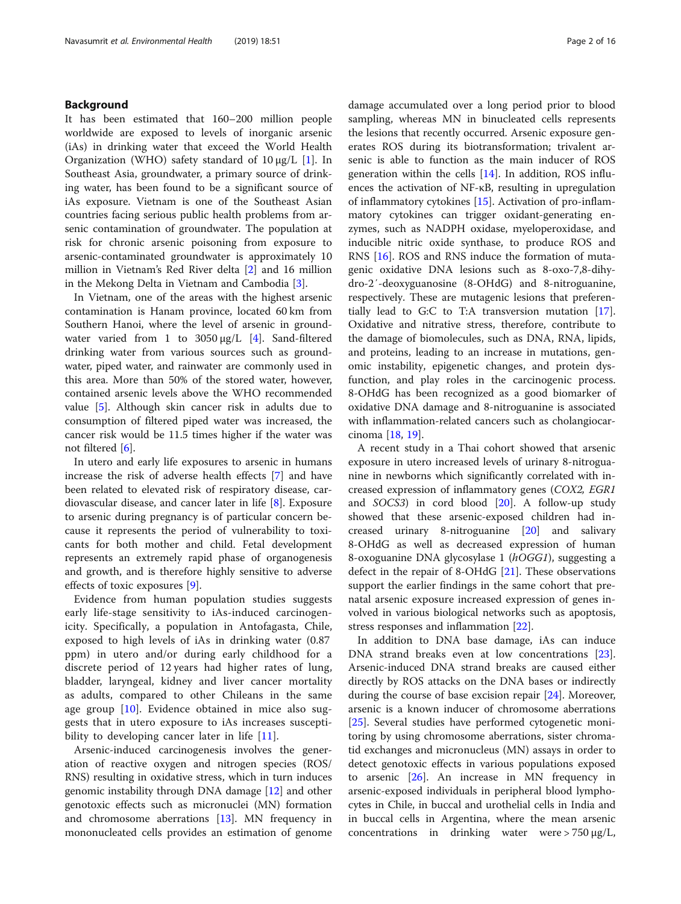#### Background

It has been estimated that 160–200 million people worldwide are exposed to levels of inorganic arsenic (iAs) in drinking water that exceed the World Health Organization (WHO) safety standard of 10 μg/L [\[1](#page-13-0)]. In Southeast Asia, groundwater, a primary source of drinking water, has been found to be a significant source of iAs exposure. Vietnam is one of the Southeast Asian countries facing serious public health problems from arsenic contamination of groundwater. The population at risk for chronic arsenic poisoning from exposure to arsenic-contaminated groundwater is approximately 10 million in Vietnam's Red River delta [[2\]](#page-13-0) and 16 million in the Mekong Delta in Vietnam and Cambodia [\[3\]](#page-13-0).

In Vietnam, one of the areas with the highest arsenic contamination is Hanam province, located 60 km from Southern Hanoi, where the level of arsenic in groundwater varied from 1 to  $3050 \mu g/L$  [\[4](#page-13-0)]. Sand-filtered drinking water from various sources such as groundwater, piped water, and rainwater are commonly used in this area. More than 50% of the stored water, however, contained arsenic levels above the WHO recommended value [\[5](#page-13-0)]. Although skin cancer risk in adults due to consumption of filtered piped water was increased, the cancer risk would be 11.5 times higher if the water was not filtered [\[6](#page-13-0)].

In utero and early life exposures to arsenic in humans increase the risk of adverse health effects [\[7](#page-13-0)] and have been related to elevated risk of respiratory disease, cardiovascular disease, and cancer later in life [\[8](#page-13-0)]. Exposure to arsenic during pregnancy is of particular concern because it represents the period of vulnerability to toxicants for both mother and child. Fetal development represents an extremely rapid phase of organogenesis and growth, and is therefore highly sensitive to adverse effects of toxic exposures [\[9](#page-14-0)].

Evidence from human population studies suggests early life-stage sensitivity to iAs-induced carcinogenicity. Specifically, a population in Antofagasta, Chile, exposed to high levels of iAs in drinking water (0.87 ppm) in utero and/or during early childhood for a discrete period of 12 years had higher rates of lung, bladder, laryngeal, kidney and liver cancer mortality as adults, compared to other Chileans in the same age group [[10\]](#page-14-0). Evidence obtained in mice also suggests that in utero exposure to iAs increases suscepti-bility to developing cancer later in life [[11\]](#page-14-0).

Arsenic-induced carcinogenesis involves the generation of reactive oxygen and nitrogen species (ROS/ RNS) resulting in oxidative stress, which in turn induces genomic instability through DNA damage [[12\]](#page-14-0) and other genotoxic effects such as micronuclei (MN) formation and chromosome aberrations [\[13](#page-14-0)]. MN frequency in mononucleated cells provides an estimation of genome damage accumulated over a long period prior to blood sampling, whereas MN in binucleated cells represents the lesions that recently occurred. Arsenic exposure generates ROS during its biotransformation; trivalent arsenic is able to function as the main inducer of ROS generation within the cells  $[14]$  $[14]$ . In addition, ROS influences the activation of NF-κB, resulting in upregulation of inflammatory cytokines [[15](#page-14-0)]. Activation of pro-inflammatory cytokines can trigger oxidant-generating enzymes, such as NADPH oxidase, myeloperoxidase, and inducible nitric oxide synthase, to produce ROS and RNS [[16\]](#page-14-0). ROS and RNS induce the formation of mutagenic oxidative DNA lesions such as 8-oxo-7,8-dihydro-2′-deoxyguanosine (8-OHdG) and 8-nitroguanine, respectively. These are mutagenic lesions that preferentially lead to G:C to T:A transversion mutation [\[17](#page-14-0)]. Oxidative and nitrative stress, therefore, contribute to the damage of biomolecules, such as DNA, RNA, lipids, and proteins, leading to an increase in mutations, genomic instability, epigenetic changes, and protein dysfunction, and play roles in the carcinogenic process. 8-OHdG has been recognized as a good biomarker of oxidative DNA damage and 8-nitroguanine is associated with inflammation-related cancers such as cholangiocarcinoma [[18,](#page-14-0) [19\]](#page-14-0).

A recent study in a Thai cohort showed that arsenic exposure in utero increased levels of urinary 8-nitroguanine in newborns which significantly correlated with increased expression of inflammatory genes (COX2, EGR1 and SOCS3) in cord blood [\[20\]](#page-14-0). A follow-up study showed that these arsenic-exposed children had increased urinary 8-nitroguanine [\[20](#page-14-0)] and salivary 8-OHdG as well as decreased expression of human 8-oxoguanine DNA glycosylase 1 (hOGG1), suggesting a defect in the repair of 8-OHdG [\[21\]](#page-14-0). These observations support the earlier findings in the same cohort that prenatal arsenic exposure increased expression of genes involved in various biological networks such as apoptosis, stress responses and inflammation [[22](#page-14-0)].

In addition to DNA base damage, iAs can induce DNA strand breaks even at low concentrations [\[23](#page-14-0)]. Arsenic-induced DNA strand breaks are caused either directly by ROS attacks on the DNA bases or indirectly during the course of base excision repair [[24\]](#page-14-0). Moreover, arsenic is a known inducer of chromosome aberrations [[25\]](#page-14-0). Several studies have performed cytogenetic monitoring by using chromosome aberrations, sister chromatid exchanges and micronucleus (MN) assays in order to detect genotoxic effects in various populations exposed to arsenic [[26\]](#page-14-0). An increase in MN frequency in arsenic-exposed individuals in peripheral blood lymphocytes in Chile, in buccal and urothelial cells in India and in buccal cells in Argentina, where the mean arsenic concentrations in drinking water were  $> 750 \mu g/L$ ,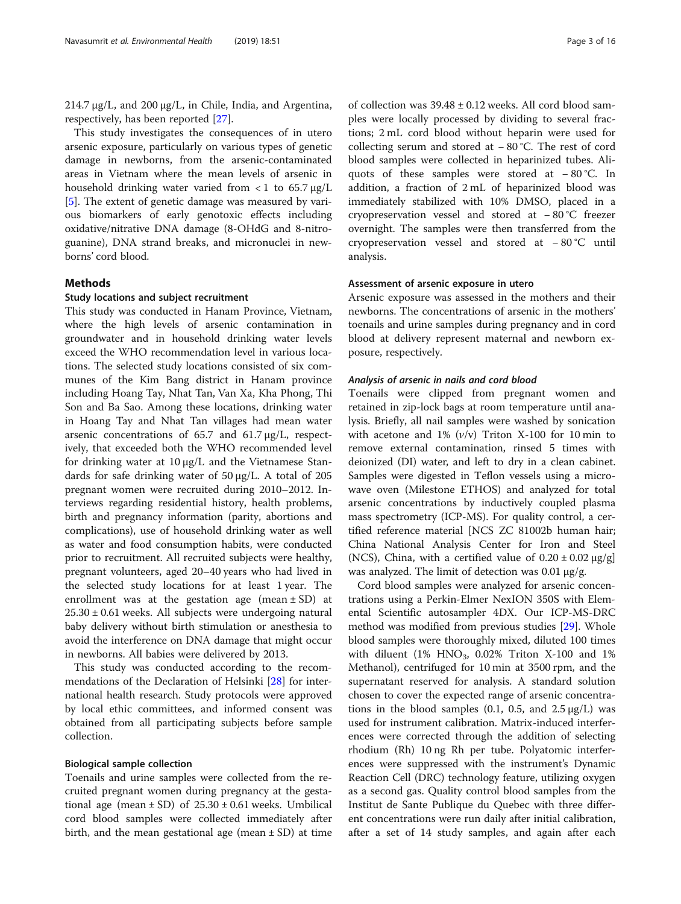214.7 μg/L, and 200 μg/L, in Chile, India, and Argentina, respectively, has been reported [\[27\]](#page-14-0).

This study investigates the consequences of in utero arsenic exposure, particularly on various types of genetic damage in newborns, from the arsenic-contaminated areas in Vietnam where the mean levels of arsenic in household drinking water varied from  $< 1$  to 65.7  $\mu$ g/L [[5\]](#page-13-0). The extent of genetic damage was measured by various biomarkers of early genotoxic effects including oxidative/nitrative DNA damage (8-OHdG and 8-nitroguanine), DNA strand breaks, and micronuclei in newborns' cord blood.

#### **Methods**

#### Study locations and subject recruitment

This study was conducted in Hanam Province, Vietnam, where the high levels of arsenic contamination in groundwater and in household drinking water levels exceed the WHO recommendation level in various locations. The selected study locations consisted of six communes of the Kim Bang district in Hanam province including Hoang Tay, Nhat Tan, Van Xa, Kha Phong, Thi Son and Ba Sao. Among these locations, drinking water in Hoang Tay and Nhat Tan villages had mean water arsenic concentrations of 65.7 and 61.7 μg/L, respectively, that exceeded both the WHO recommended level for drinking water at 10 μg/L and the Vietnamese Standards for safe drinking water of 50 μg/L. A total of 205 pregnant women were recruited during 2010–2012. Interviews regarding residential history, health problems, birth and pregnancy information (parity, abortions and complications), use of household drinking water as well as water and food consumption habits, were conducted prior to recruitment. All recruited subjects were healthy, pregnant volunteers, aged 20–40 years who had lived in the selected study locations for at least 1 year. The enrollment was at the gestation age (mean  $\pm$  SD) at  $25.30 \pm 0.61$  weeks. All subjects were undergoing natural baby delivery without birth stimulation or anesthesia to avoid the interference on DNA damage that might occur in newborns. All babies were delivered by 2013.

This study was conducted according to the recommendations of the Declaration of Helsinki [[28\]](#page-14-0) for international health research. Study protocols were approved by local ethic committees, and informed consent was obtained from all participating subjects before sample collection.

#### Biological sample collection

Toenails and urine samples were collected from the recruited pregnant women during pregnancy at the gestational age (mean  $\pm$  SD) of 25.30  $\pm$  0.61 weeks. Umbilical cord blood samples were collected immediately after birth, and the mean gestational age (mean  $\pm$  SD) at time

of collection was 39.48 ± 0.12 weeks. All cord blood samples were locally processed by dividing to several fractions; 2 mL cord blood without heparin were used for collecting serum and stored at − 80 °C. The rest of cord blood samples were collected in heparinized tubes. Aliquots of these samples were stored at − 80 °C. In addition, a fraction of 2 mL of heparinized blood was immediately stabilized with 10% DMSO, placed in a cryopreservation vessel and stored at − 80 °C freezer overnight. The samples were then transferred from the cryopreservation vessel and stored at − 80 °C until analysis.

#### Assessment of arsenic exposure in utero

Arsenic exposure was assessed in the mothers and their newborns. The concentrations of arsenic in the mothers' toenails and urine samples during pregnancy and in cord blood at delivery represent maternal and newborn exposure, respectively.

#### Analysis of arsenic in nails and cord blood

Toenails were clipped from pregnant women and retained in zip-lock bags at room temperature until analysis. Briefly, all nail samples were washed by sonication with acetone and  $1\%$  ( $v/v$ ) Triton X-100 for 10 min to remove external contamination, rinsed 5 times with deionized (DI) water, and left to dry in a clean cabinet. Samples were digested in Teflon vessels using a microwave oven (Milestone ETHOS) and analyzed for total arsenic concentrations by inductively coupled plasma mass spectrometry (ICP-MS). For quality control, a certified reference material [NCS ZC 81002b human hair; China National Analysis Center for Iron and Steel (NCS), China, with a certified value of  $0.20 \pm 0.02 \mu g/g$ ] was analyzed. The limit of detection was 0.01 μg/g.

Cord blood samples were analyzed for arsenic concentrations using a Perkin-Elmer NexION 350S with Elemental Scientific autosampler 4DX. Our ICP-MS-DRC method was modified from previous studies [[29\]](#page-14-0). Whole blood samples were thoroughly mixed, diluted 100 times with diluent (1%  $HNO<sub>3</sub>$ , 0.02% Triton X-100 and 1% Methanol), centrifuged for 10 min at 3500 rpm, and the supernatant reserved for analysis. A standard solution chosen to cover the expected range of arsenic concentrations in the blood samples  $(0.1, 0.5, \text{ and } 2.5 \mu g/L)$  was used for instrument calibration. Matrix-induced interferences were corrected through the addition of selecting rhodium (Rh) 10 ng Rh per tube. Polyatomic interferences were suppressed with the instrument's Dynamic Reaction Cell (DRC) technology feature, utilizing oxygen as a second gas. Quality control blood samples from the Institut de Sante Publique du Quebec with three different concentrations were run daily after initial calibration, after a set of 14 study samples, and again after each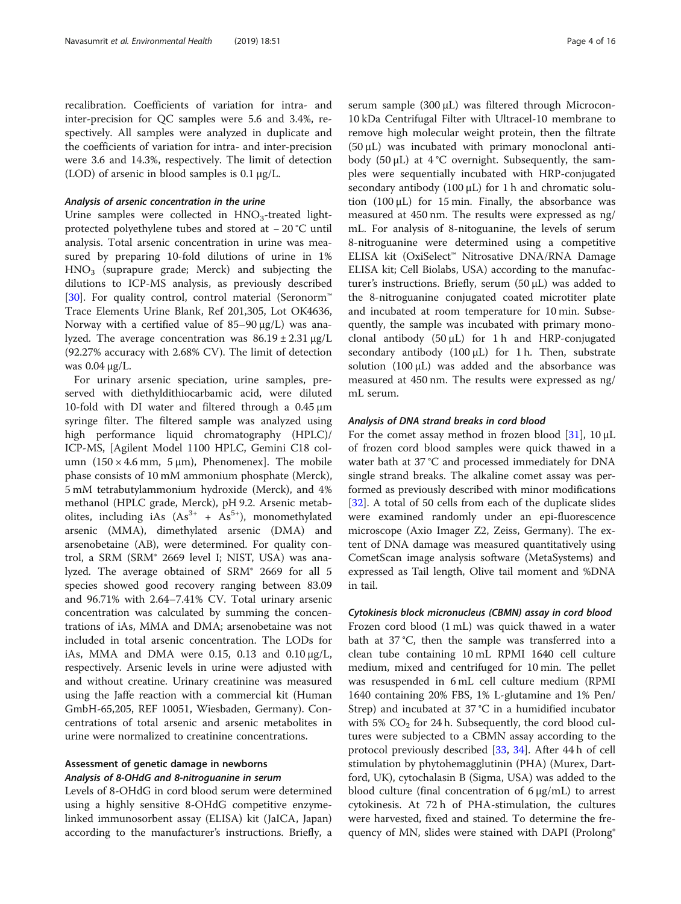recalibration. Coefficients of variation for intra- and inter-precision for QC samples were 5.6 and 3.4%, respectively. All samples were analyzed in duplicate and the coefficients of variation for intra- and inter-precision were 3.6 and 14.3%, respectively. The limit of detection (LOD) of arsenic in blood samples is 0.1 μg/L.

#### Analysis of arsenic concentration in the urine

Urine samples were collected in  $HNO<sub>3</sub>$ -treated lightprotected polyethylene tubes and stored at − 20 °C until analysis. Total arsenic concentration in urine was measured by preparing 10-fold dilutions of urine in 1%  $HNO<sub>3</sub>$  (suprapure grade; Merck) and subjecting the dilutions to ICP-MS analysis, as previously described [[30\]](#page-14-0). For quality control, control material (Seronorm™ Trace Elements Urine Blank, Ref 201,305, Lot OK4636, Norway with a certified value of  $85-90 \mu g/L$ ) was analyzed. The average concentration was 86.19 ± 2.31 μg/L (92.27% accuracy with 2.68% CV). The limit of detection was 0.04 μg/L.

For urinary arsenic speciation, urine samples, preserved with diethyldithiocarbamic acid, were diluted 10-fold with DI water and filtered through a 0.45 μm syringe filter. The filtered sample was analyzed using high performance liquid chromatography (HPLC)/ ICP-MS, [Agilent Model 1100 HPLC, Gemini C18 column  $(150 \times 4.6 \text{ mm}, 5 \mu \text{m})$ , Phenomenex]. The mobile phase consists of 10 mM ammonium phosphate (Merck), 5 mM tetrabutylammonium hydroxide (Merck), and 4% methanol (HPLC grade, Merck), pH 9.2. Arsenic metabolites, including iAs  $(As<sup>3+</sup> + As<sup>5+</sup>)$ , monomethylated arsenic (MMA), dimethylated arsenic (DMA) and arsenobetaine (AB), were determined. For quality control, a SRM (SRM® 2669 level I; NIST, USA) was analyzed. The average obtained of SRM® 2669 for all 5 species showed good recovery ranging between 83.09 and 96.71% with 2.64–7.41% CV. Total urinary arsenic concentration was calculated by summing the concentrations of iAs, MMA and DMA; arsenobetaine was not included in total arsenic concentration. The LODs for iAs, MMA and DMA were 0.15, 0.13 and  $0.10 \mu g/L$ , respectively. Arsenic levels in urine were adjusted with and without creatine. Urinary creatinine was measured using the Jaffe reaction with a commercial kit (Human GmbH-65,205, REF 10051, Wiesbaden, Germany). Concentrations of total arsenic and arsenic metabolites in urine were normalized to creatinine concentrations.

#### Assessment of genetic damage in newborns Analysis of 8-OHdG and 8-nitroguanine in serum

Levels of 8-OHdG in cord blood serum were determined using a highly sensitive 8-OHdG competitive enzymelinked immunosorbent assay (ELISA) kit (JaICA, Japan) according to the manufacturer's instructions. Briefly, a

serum sample (300 μL) was filtered through Microcon-10 kDa Centrifugal Filter with Ultracel-10 membrane to remove high molecular weight protein, then the filtrate  $(50 \mu L)$  was incubated with primary monoclonal antibody (50  $\mu$ L) at 4 °C overnight. Subsequently, the samples were sequentially incubated with HRP-conjugated secondary antibody  $(100 \mu L)$  for 1 h and chromatic solution  $(100 \mu L)$  for 15 min. Finally, the absorbance was measured at 450 nm. The results were expressed as ng/ mL. For analysis of 8-nitoguanine, the levels of serum 8-nitroguanine were determined using a competitive ELISA kit (OxiSelect™ Nitrosative DNA/RNA Damage ELISA kit; Cell Biolabs, USA) according to the manufacturer's instructions. Briefly, serum (50 μL) was added to the 8-nitroguanine conjugated coated microtiter plate and incubated at room temperature for 10 min. Subsequently, the sample was incubated with primary monoclonal antibody (50 μL) for 1 h and HRP-conjugated secondary antibody (100 μL) for 1 h. Then, substrate solution (100 μL) was added and the absorbance was measured at 450 nm. The results were expressed as ng/ mL serum.

#### Analysis of DNA strand breaks in cord blood

For the comet assay method in frozen blood [\[31](#page-14-0)],  $10 \mu L$ of frozen cord blood samples were quick thawed in a water bath at 37 °C and processed immediately for DNA single strand breaks. The alkaline comet assay was performed as previously described with minor modifications [[32\]](#page-14-0). A total of 50 cells from each of the duplicate slides were examined randomly under an epi-fluorescence microscope (Axio Imager Z2, Zeiss, Germany). The extent of DNA damage was measured quantitatively using CometScan image analysis software (MetaSystems) and expressed as Tail length, Olive tail moment and %DNA in tail.

#### Cytokinesis block micronucleus (CBMN) assay in cord blood

Frozen cord blood (1 mL) was quick thawed in a water bath at 37 °C, then the sample was transferred into a clean tube containing 10 mL RPMI 1640 cell culture medium, mixed and centrifuged for 10 min. The pellet was resuspended in 6 mL cell culture medium (RPMI 1640 containing 20% FBS, 1% L-glutamine and 1% Pen/ Strep) and incubated at 37 °C in a humidified incubator with 5%  $CO<sub>2</sub>$  for 24 h. Subsequently, the cord blood cultures were subjected to a CBMN assay according to the protocol previously described [\[33](#page-14-0), [34\]](#page-14-0). After 44 h of cell stimulation by phytohemagglutinin (PHA) (Murex, Dartford, UK), cytochalasin B (Sigma, USA) was added to the blood culture (final concentration of 6 μg/mL) to arrest cytokinesis. At 72 h of PHA-stimulation, the cultures were harvested, fixed and stained. To determine the frequency of MN, slides were stained with DAPI (Prolong<sup>®</sup>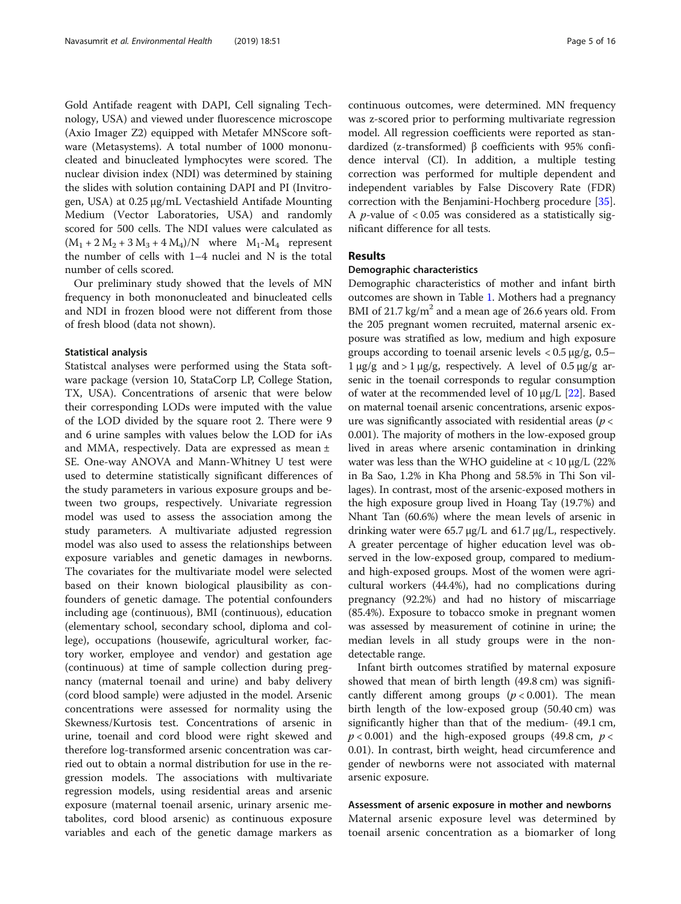Gold Antifade reagent with DAPI, Cell signaling Technology, USA) and viewed under fluorescence microscope (Axio Imager Z2) equipped with Metafer MNScore software (Metasystems). A total number of 1000 mononucleated and binucleated lymphocytes were scored. The nuclear division index (NDI) was determined by staining the slides with solution containing DAPI and PI (Invitrogen, USA) at 0.25 μg/mL Vectashield Antifade Mounting Medium (Vector Laboratories, USA) and randomly scored for 500 cells. The NDI values were calculated as  $(M_1 + 2M_2 + 3M_3 + 4M_4)$ /N where  $M_1$ - $M_4$  represent the number of cells with 1–4 nuclei and N is the total number of cells scored.

Our preliminary study showed that the levels of MN frequency in both mononucleated and binucleated cells and NDI in frozen blood were not different from those of fresh blood (data not shown).

#### Statistical analysis

Statistcal analyses were performed using the Stata software package (version 10, StataCorp LP, College Station, TX, USA). Concentrations of arsenic that were below their corresponding LODs were imputed with the value of the LOD divided by the square root 2. There were 9 and 6 urine samples with values below the LOD for iAs and MMA, respectively. Data are expressed as mean ± SE. One-way ANOVA and Mann-Whitney U test were used to determine statistically significant differences of the study parameters in various exposure groups and between two groups, respectively. Univariate regression model was used to assess the association among the study parameters. A multivariate adjusted regression model was also used to assess the relationships between exposure variables and genetic damages in newborns. The covariates for the multivariate model were selected based on their known biological plausibility as confounders of genetic damage. The potential confounders including age (continuous), BMI (continuous), education (elementary school, secondary school, diploma and college), occupations (housewife, agricultural worker, factory worker, employee and vendor) and gestation age (continuous) at time of sample collection during pregnancy (maternal toenail and urine) and baby delivery (cord blood sample) were adjusted in the model. Arsenic concentrations were assessed for normality using the Skewness/Kurtosis test. Concentrations of arsenic in urine, toenail and cord blood were right skewed and therefore log-transformed arsenic concentration was carried out to obtain a normal distribution for use in the regression models. The associations with multivariate regression models, using residential areas and arsenic exposure (maternal toenail arsenic, urinary arsenic metabolites, cord blood arsenic) as continuous exposure variables and each of the genetic damage markers as

continuous outcomes, were determined. MN frequency was z-scored prior to performing multivariate regression model. All regression coefficients were reported as standardized (z-transformed) β coefficients with 95% confidence interval (CI). In addition, a multiple testing correction was performed for multiple dependent and independent variables by False Discovery Rate (FDR) correction with the Benjamini-Hochberg procedure [\[35](#page-14-0)]. A *p*-value of  $< 0.05$  was considered as a statistically significant difference for all tests.

#### Results

#### Demographic characteristics

Demographic characteristics of mother and infant birth outcomes are shown in Table [1.](#page-5-0) Mothers had a pregnancy BMI of  $21.7 \text{ kg/m}^2$  and a mean age of 26.6 years old. From the 205 pregnant women recruited, maternal arsenic exposure was stratified as low, medium and high exposure groups according to toenail arsenic levels  $< 0.5 \mu g/g$ , 0.5–  $1 \mu$ g/g and >  $1 \mu$ g/g, respectively. A level of 0.5  $\mu$ g/g arsenic in the toenail corresponds to regular consumption of water at the recommended level of 10 μg/L  $[22]$ . Based on maternal toenail arsenic concentrations, arsenic exposure was significantly associated with residential areas ( $p <$ 0.001). The majority of mothers in the low-exposed group lived in areas where arsenic contamination in drinking water was less than the WHO guideline at  $< 10 \mu g/L$  (22%) in Ba Sao, 1.2% in Kha Phong and 58.5% in Thi Son villages). In contrast, most of the arsenic-exposed mothers in the high exposure group lived in Hoang Tay (19.7%) and Nhant Tan (60.6%) where the mean levels of arsenic in drinking water were 65.7 μg/L and 61.7 μg/L, respectively. A greater percentage of higher education level was observed in the low-exposed group, compared to mediumand high-exposed groups. Most of the women were agricultural workers (44.4%), had no complications during pregnancy (92.2%) and had no history of miscarriage (85.4%). Exposure to tobacco smoke in pregnant women was assessed by measurement of cotinine in urine; the median levels in all study groups were in the nondetectable range.

Infant birth outcomes stratified by maternal exposure showed that mean of birth length (49.8 cm) was significantly different among groups ( $p < 0.001$ ). The mean birth length of the low-exposed group (50.40 cm) was significantly higher than that of the medium- (49.1 cm,  $p < 0.001$ ) and the high-exposed groups (49.8 cm,  $p <$ 0.01). In contrast, birth weight, head circumference and gender of newborns were not associated with maternal arsenic exposure.

#### Assessment of arsenic exposure in mother and newborns

Maternal arsenic exposure level was determined by toenail arsenic concentration as a biomarker of long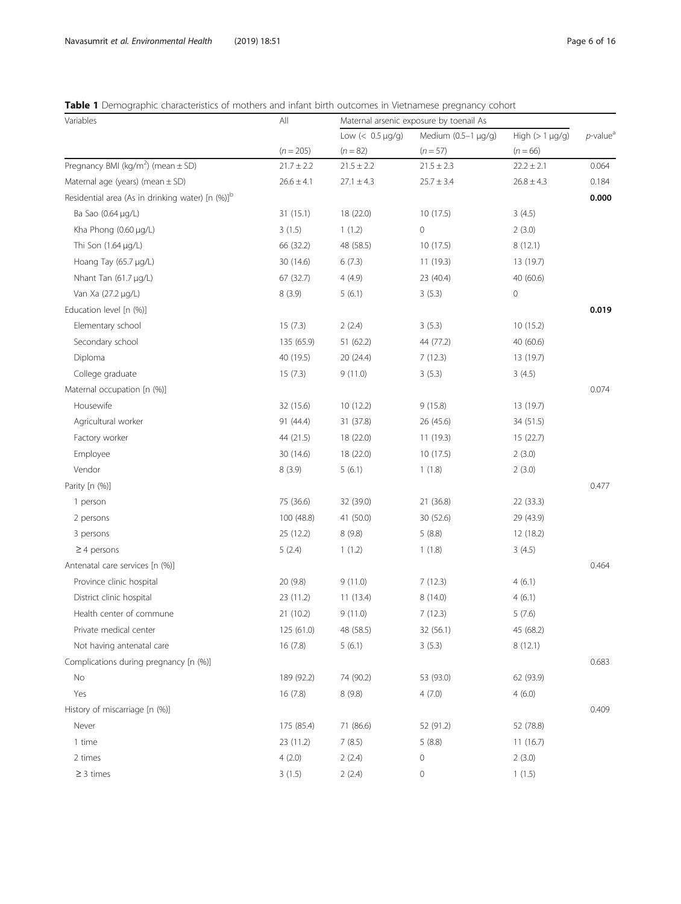# <span id="page-5-0"></span>Table 1 Demographic characteristics of mothers and infant birth outcomes in Vietnamese pregnancy cohort

| Variables                                                    | All            |                       | Maternal arsenic exposure by toenail As |                     |                         |
|--------------------------------------------------------------|----------------|-----------------------|-----------------------------------------|---------------------|-------------------------|
|                                                              |                | Low $(< 0.5 \mu g/g)$ | Medium (0.5-1 µg/g)                     | High $(>1 \mu g/g)$ | $p$ -value <sup>a</sup> |
|                                                              | $(n = 205)$    | $(n = 82)$            | $(n = 57)$                              | $(n = 66)$          |                         |
| Pregnancy BMI ( $kg/m2$ ) (mean $\pm$ SD)                    | $21.7 \pm 2.2$ | $21.5 \pm 2.2$        | $21.5 \pm 2.3$                          | $22.2 \pm 2.1$      | 0.064                   |
| Maternal age (years) (mean $\pm$ SD)                         | $26.6 \pm 4.1$ | $27.1 \pm 4.3$        | $25.7 \pm 3.4$                          | $26.8 \pm 4.3$      | 0.184                   |
| Residential area (As in drinking water) [n (%)] <sup>b</sup> |                |                       |                                         |                     | 0.000                   |
| Ba Sao (0.64 µg/L)                                           | 31(15.1)       | 18 (22.0)             | 10(17.5)                                | 3(4.5)              |                         |
| Kha Phong (0.60 µg/L)                                        | 3(1.5)         | 1(1.2)                | 0                                       | 2(3.0)              |                         |
| Thi Son (1.64 µg/L)                                          | 66 (32.2)      | 48 (58.5)             | 10 (17.5)                               | 8(12.1)             |                         |
| Hoang Tay (65.7 µg/L)                                        | 30 (14.6)      | 6(7.3)                | 11(19.3)                                | 13 (19.7)           |                         |
| Nhant Tan (61.7 µg/L)                                        | 67(32.7)       | 4(4.9)                | 23 (40.4)                               | 40 (60.6)           |                         |
| Van Xa (27.2 µg/L)                                           | 8(3.9)         | 5(6.1)                | 3(5.3)                                  | $\mathsf{O}\xspace$ |                         |
| Education level [n (%)]                                      |                |                       |                                         |                     | 0.019                   |
| Elementary school                                            | 15(7.3)        | 2(2.4)                | 3(5.3)                                  | 10(15.2)            |                         |
| Secondary school                                             | 135 (65.9)     | 51 (62.2)             | 44 (77.2)                               | 40 (60.6)           |                         |
| Diploma                                                      | 40 (19.5)      | 20 (24.4)             | 7(12.3)                                 | 13 (19.7)           |                         |
| College graduate                                             | 15(7.3)        | 9(11.0)               | 3(5.3)                                  | 3(4.5)              |                         |
| Maternal occupation [n (%)]                                  |                |                       |                                         |                     | 0.074                   |
| Housewife                                                    | 32 (15.6)      | 10(12.2)              | 9(15.8)                                 | 13 (19.7)           |                         |
| Agricultural worker                                          | 91 (44.4)      | 31 (37.8)             | 26 (45.6)                               | 34 (51.5)           |                         |
| Factory worker                                               | 44 (21.5)      | 18 (22.0)             | 11(19.3)                                | 15 (22.7)           |                         |
| Employee                                                     | 30 (14.6)      | 18 (22.0)             | 10(17.5)                                | 2(3.0)              |                         |
| Vendor                                                       | 8(3.9)         | 5(6.1)                | 1(1.8)                                  | 2(3.0)              |                         |
| Parity [n (%)]                                               |                |                       |                                         |                     | 0.477                   |
| 1 person                                                     | 75 (36.6)      | 32 (39.0)             | 21 (36.8)                               | 22 (33.3)           |                         |
| 2 persons                                                    | 100 (48.8)     | 41 (50.0)             | 30 (52.6)                               | 29 (43.9)           |                         |
| 3 persons                                                    | 25 (12.2)      | 8(9.8)                | 5(8.8)                                  | 12 (18.2)           |                         |
| $\geq$ 4 persons                                             | 5(2.4)         | 1(1.2)                | 1(1.8)                                  | 3(4.5)              |                         |
| Antenatal care services [n (%)]                              |                |                       |                                         |                     | 0.464                   |
| Province clinic hospital                                     | 20 (9.8)       | 9(11.0)               | 7(12.3)                                 | 4(6.1)              |                         |
| District clinic hospital                                     | 23 (11.2)      | 11(13.4)              | 8(14.0)                                 | 4(6.1)              |                         |
| Health center of commune                                     | 21 (10.2)      | 9(11.0)               | 7(12.3)                                 | 5(7.6)              |                         |
| Private medical center                                       | 125 (61.0)     | 48 (58.5)             | 32 (56.1)                               | 45 (68.2)           |                         |
| Not having antenatal care                                    | 16(7.8)        | 5(6.1)                | 3(5.3)                                  | 8(12.1)             |                         |
| Complications during pregnancy [n (%)]                       |                |                       |                                         |                     | 0.683                   |
| No                                                           | 189 (92.2)     | 74 (90.2)             | 53 (93.0)                               | 62 (93.9)           |                         |
| Yes                                                          | 16(7.8)        | 8(9.8)                | 4(7.0)                                  | 4(6.0)              |                         |
| History of miscarriage [n (%)]                               |                |                       |                                         |                     | 0.409                   |
| Never                                                        | 175 (85.4)     | 71 (86.6)             | 52 (91.2)                               | 52 (78.8)           |                         |
| 1 time                                                       | 23 (11.2)      | 7(8.5)                | 5(8.8)                                  | 11(16.7)            |                         |
| 2 times                                                      | 4(2.0)         | 2(2.4)                | 0                                       | 2(3.0)              |                         |
| $\geq$ 3 times                                               | 3(1.5)         | 2(2.4)                | 0                                       | 1(1.5)              |                         |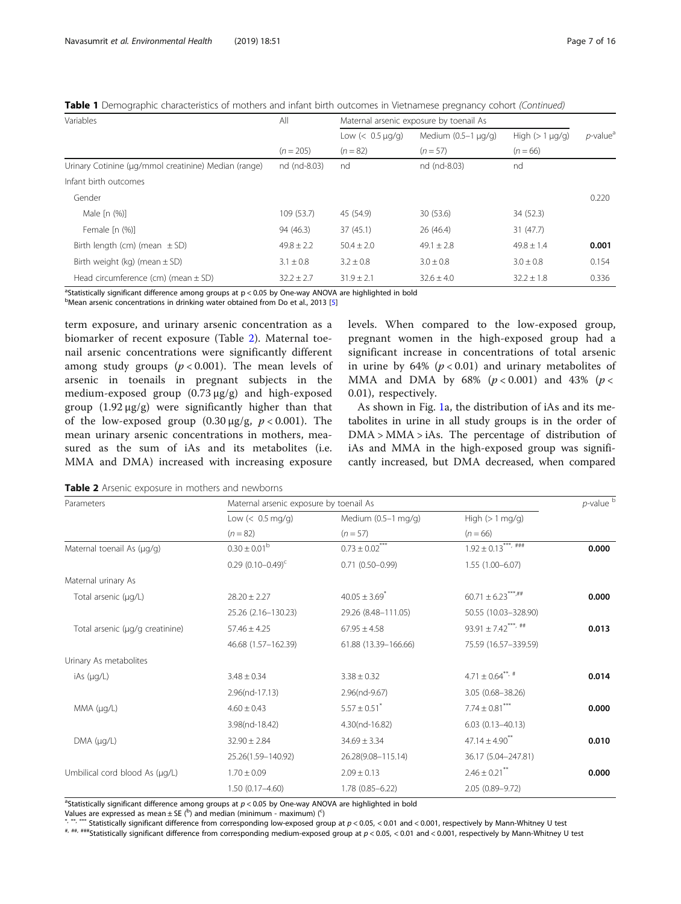<span id="page-6-0"></span>Table 1 Demographic characteristics of mothers and infant birth outcomes in Vietnamese pregnancy cohort (Continued)

| Variables                                            | All            |                       | Maternal arsenic exposure by toenail As |                     |                         |
|------------------------------------------------------|----------------|-----------------------|-----------------------------------------|---------------------|-------------------------|
|                                                      |                | Low $(< 0.5 \mu q/q)$ | Medium $(0.5-1 \mu q/q)$                | High $(>1 \mu q/q)$ | $p$ -value <sup>a</sup> |
|                                                      | $(n = 205)$    | $(n = 82)$            | $(n = 57)$                              | $(n = 66)$          |                         |
| Urinary Cotinine (µg/mmol creatinine) Median (range) | nd (nd-8.03)   | nd                    | nd (nd-8.03)                            | nd                  |                         |
| Infant birth outcomes                                |                |                       |                                         |                     |                         |
| Gender                                               |                |                       |                                         |                     | 0.220                   |
| Male [n (%)]                                         | 109 (53.7)     | 45 (54.9)             | 30 (53.6)                               | 34 (52.3)           |                         |
| Female [n (%)]                                       | 94 (46.3)      | 37(45.1)              | 26 (46.4)                               | 31(47.7)            |                         |
| Birth length (cm) (mean $\pm$ SD)                    | $49.8 + 2.2$   | $50.4 + 2.0$          | $49.1 \pm 2.8$                          | $49.8 \pm 1.4$      | 0.001                   |
| Birth weight (kg) (mean $\pm$ SD)                    | $3.1 \pm 0.8$  | $3.2 \pm 0.8$         | $3.0 \pm 0.8$                           | $3.0 \pm 0.8$       | 0.154                   |
| Head circumference (cm) (mean $\pm$ SD)              | $32.2 \pm 2.7$ | $31.9 \pm 2.1$        | $32.6 \pm 4.0$                          | $32.2 \pm 1.8$      | 0.336                   |

<sup>a</sup>Statistically significant difference among groups at p < 0.05 by One-way ANOVA are highlighted in bold

<sup>b</sup>Mean arsenic concentrations in drinking water obtained from Do et al., 2013 [\[5\]](#page-13-0)

term exposure, and urinary arsenic concentration as a biomarker of recent exposure (Table 2). Maternal toenail arsenic concentrations were significantly different among study groups  $(p < 0.001)$ . The mean levels of arsenic in toenails in pregnant subjects in the medium-exposed group (0.73 μg/g) and high-exposed group (1.92 μg/g) were significantly higher than that of the low-exposed group  $(0.30 \mu g/g, p < 0.001)$ . The mean urinary arsenic concentrations in mothers, measured as the sum of iAs and its metabolites (i.e. MMA and DMA) increased with increasing exposure levels. When compared to the low-exposed group, pregnant women in the high-exposed group had a significant increase in concentrations of total arsenic in urine by 64% ( $p < 0.01$ ) and urinary metabolites of MMA and DMA by  $68\%$  ( $p < 0.001$ ) and  $43\%$  ( $p <$ 0.01), respectively.

As shown in Fig. [1a](#page-7-0), the distribution of iAs and its metabolites in urine in all study groups is in the order of DMA > MMA > iAs. The percentage of distribution of iAs and MMA in the high-exposed group was significantly increased, but DMA decreased, when compared

Table 2 Arsenic exposure in mothers and newborns

| Parameters                      | Maternal arsenic exposure by toenail As |                               |                                              | $p$ -value $b$ |
|---------------------------------|-----------------------------------------|-------------------------------|----------------------------------------------|----------------|
|                                 | Low $(< 0.5$ mg/g)                      | Medium $(0.5-1$ mg/g)         | High $(> 1$ mg/g)                            |                |
|                                 | $(n = 82)$                              | $(n=57)$                      | $(n = 66)$                                   |                |
| Maternal toenail As (µg/g)      | $0.30 \pm 0.01^{\rm b}$                 | $0.73 \pm 0.02^{***}$         | $1.92\pm0.13***$ ###                         | 0.000          |
|                                 | $0.29(0.10-0.49)^c$                     | $0.71(0.50 - 0.99)$           | $1.55(1.00 - 6.07)$                          |                |
| Maternal urinary As             |                                         |                               |                                              |                |
| Total arsenic (µg/L)            | $28.20 \pm 2.27$                        | $40.05 \pm 3.69$ <sup>*</sup> | $60.71 \pm 6.23***$                          | 0.000          |
|                                 | 25.26 (2.16-130.23)                     | 29.26 (8.48-111.05)           | 50.55 (10.03-328.90)                         |                |
| Total arsenic (µg/g creatinine) | $57.46 \pm 4.25$                        | $67.95 \pm 4.58$              | $93.91 \pm 7.42***$ , ##                     | 0.013          |
|                                 | 46.68 (1.57-162.39)                     | 61.88 (13.39-166.66)          | 75.59 (16.57-339.59)                         |                |
| Urinary As metabolites          |                                         |                               |                                              |                |
| $iAs$ ( $\mu g/L$ )             | $3.48 \pm 0.34$                         | $3.38 \pm 0.32$               | $4.71 \pm 0.64$ <sup>**</sup> / <sup>#</sup> | 0.014          |
|                                 | 2.96(nd-17.13)                          | 2.96(nd-9.67)                 | $3.05(0.68 - 38.26)$                         |                |
| $MMA$ ( $\mu q/L$ )             | $4.60 \pm 0.43$                         | $5.57 \pm 0.51$ <sup>*</sup>  | $7.74 \pm 0.81$ <sup>***</sup>               | 0.000          |
|                                 | 3.98(nd-18.42)                          | 4.30(nd-16.82)                | $6.03(0.13 - 40.13)$                         |                |
| DMA (µq/L)                      | $32.90 \pm 2.84$                        | $34.69 \pm 3.34$              | $47.14 \pm 4.90$ <sup>**</sup>               | 0.010          |
|                                 | 25.26(1.59-140.92)                      | 26.28(9.08-115.14)            | 36.17 (5.04-247.81)                          |                |
| Umbilical cord blood As (µq/L)  | $1.70 \pm 0.09$                         | $2.09 \pm 0.13$               | $2.46 \pm 0.21$ <sup>**</sup>                | 0.000          |
|                                 | $1.50(0.17 - 4.60)$                     | $1.78(0.85 - 6.22)$           | 2.05 (0.89-9.72)                             |                |

<sup>a</sup>Statistically significant difference among groups at  $p < 0.05$  by One-way ANOVA are highlighted in bold

Values are expressed as mean±SE (<sup>b</sup>) and median (minimum - maximum) (<sup>c</sup>)<br>\*, \*\*, \*\*\* Statistically significant difference from corresponding low-exposed group at *p* < 0.05, < 0.01 and < 0.001, respectively by Mann-Whitne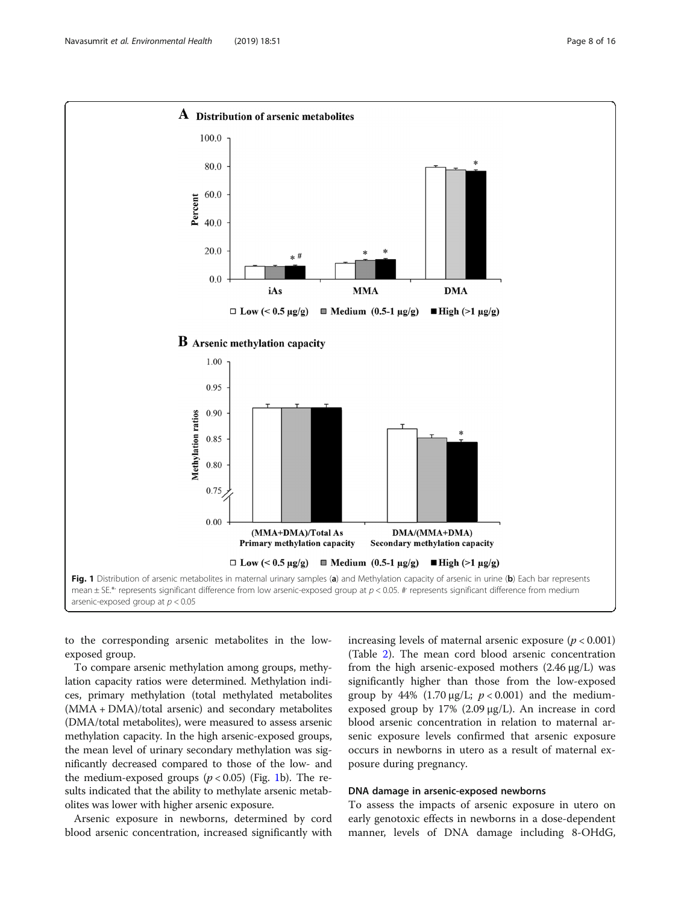<span id="page-7-0"></span>

to the corresponding arsenic metabolites in the lowexposed group.

To compare arsenic methylation among groups, methylation capacity ratios were determined. Methylation indices, primary methylation (total methylated metabolites (MMA + DMA)/total arsenic) and secondary metabolites (DMA/total metabolites), were measured to assess arsenic methylation capacity. In the high arsenic-exposed groups, the mean level of urinary secondary methylation was significantly decreased compared to those of the low- and the medium-exposed groups  $(p < 0.05)$  (Fig. 1b). The results indicated that the ability to methylate arsenic metabolites was lower with higher arsenic exposure.

Arsenic exposure in newborns, determined by cord blood arsenic concentration, increased significantly with increasing levels of maternal arsenic exposure  $(p < 0.001)$ (Table [2\)](#page-6-0). The mean cord blood arsenic concentration from the high arsenic-exposed mothers  $(2.46 \mu g/L)$  was significantly higher than those from the low-exposed group by 44% (1.70  $\mu$ g/L;  $p < 0.001$ ) and the mediumexposed group by 17% (2.09 μg/L). An increase in cord blood arsenic concentration in relation to maternal arsenic exposure levels confirmed that arsenic exposure occurs in newborns in utero as a result of maternal exposure during pregnancy.

#### DNA damage in arsenic-exposed newborns

To assess the impacts of arsenic exposure in utero on early genotoxic effects in newborns in a dose-dependent manner, levels of DNA damage including 8-OHdG,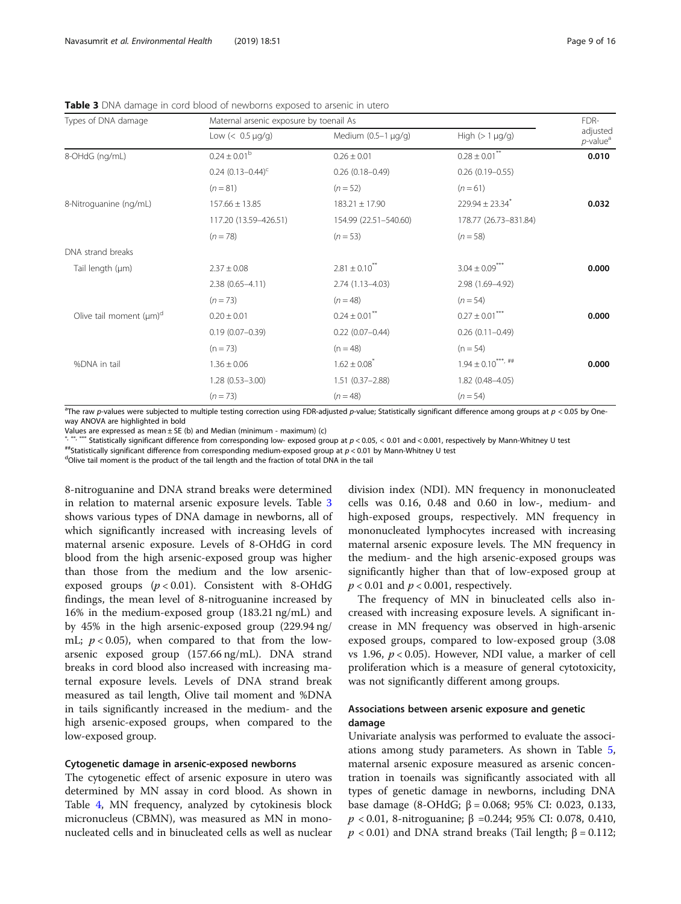| Types of DNA damage           | Maternal arsenic exposure by toenail As |                               |                                 | FDR-                                |
|-------------------------------|-----------------------------------------|-------------------------------|---------------------------------|-------------------------------------|
|                               | Low $(< 0.5 \mu g/g)$                   | Medium (0.5-1 µg/g)           | High $(>1 \mu q/q)$             | adjusted<br>$p$ -value <sup>a</sup> |
| 8-OHdG (ng/mL)                | $0.24 \pm 0.01^{\rm b}$                 | $0.26 \pm 0.01$               | $0.28 \pm 0.01***$              | 0.010                               |
|                               | $0.24$ $(0.13 - 0.44)^c$                | $0.26(0.18 - 0.49)$           | $0.26$ (0.19-0.55)              |                                     |
|                               | $(n = 81)$                              | $(n = 52)$                    | $(n=61)$                        |                                     |
| 8-Nitroguanine (ng/mL)        | $157.66 \pm 13.85$                      | $183.21 \pm 17.90$            | $229.94 \pm 23.34$ <sup>*</sup> | 0.032                               |
|                               | 117.20 (13.59-426.51)                   | 154.99 (22.51-540.60)         | 178.77 (26.73-831.84)           |                                     |
|                               | $(n = 78)$<br>$(n = 53)$                | $(n = 58)$                    |                                 |                                     |
| DNA strand breaks             |                                         |                               |                                 |                                     |
| Tail length (µm)              | $2.37 \pm 0.08$                         | $2.81 \pm 0.10^{11}$          | $3.04 \pm 0.09$                 | 0.000                               |
|                               | $2.38(0.65 - 4.11)$                     | $2.74(1.13 - 4.03)$           | 2.98 (1.69-4.92)                |                                     |
|                               | $(n = 73)$                              | $(n = 48)$                    | $(n = 54)$                      |                                     |
| Olive tail moment $(\mu m)^d$ | $0.20 \pm 0.01$                         | $0.24 \pm 0.01$ <sup>**</sup> | $0.27 \pm 0.01$ <sup>***</sup>  | 0.000                               |
|                               | $0.19(0.07 - 0.39)$                     | $0.22$ (0.07-0.44)            | $0.26(0.11 - 0.49)$             |                                     |
|                               | $(n = 73)$                              | $(n = 48)$                    | $(n = 54)$                      |                                     |
| %DNA in tail                  | $1.36 \pm 0.06$                         | $1.62 \pm 0.08$ <sup>*</sup>  | $1.94 \pm 0.10***$ , ##         | 0.000                               |
|                               | $1.28(0.53 - 3.00)$                     | $1.51(0.37 - 2.88)$           | $1.82(0.48 - 4.05)$             |                                     |
|                               | $(n = 73)$                              | $(n = 48)$                    | $(n = 54)$                      |                                     |

Table 3 DNA damage in cord blood of newborns exposed to arsenic in utero

<sup>a</sup>The raw p-values were subjected to multiple testing correction using FDR-adjusted p-value; Statistically significant difference among groups at  $p < 0.05$  by Oneway ANOVA are highlighted in bold

Values are expressed as mean  $\pm$  SE (b) and Median (minimum - maximum) (c)

\*, \*\*, \*\*\* Statistically significant difference from corresponding low- exposed group at  $p < 0.05$ , < 0.01 and < 0.001, respectively by Mann-Whitney U test #5 tatistically significant difference from corresponding medium-

<sup>d</sup>Olive tail moment is the product of the tail length and the fraction of total DNA in the tail

8-nitroguanine and DNA strand breaks were determined in relation to maternal arsenic exposure levels. Table 3 shows various types of DNA damage in newborns, all of which significantly increased with increasing levels of maternal arsenic exposure. Levels of 8-OHdG in cord blood from the high arsenic-exposed group was higher than those from the medium and the low arsenicexposed groups  $(p < 0.01)$ . Consistent with 8-OHdG findings, the mean level of 8-nitroguanine increased by 16% in the medium-exposed group (183.21 ng/mL) and by 45% in the high arsenic-exposed group (229.94 ng/ mL;  $p < 0.05$ ), when compared to that from the lowarsenic exposed group (157.66 ng/mL). DNA strand breaks in cord blood also increased with increasing maternal exposure levels. Levels of DNA strand break measured as tail length, Olive tail moment and %DNA in tails significantly increased in the medium- and the high arsenic-exposed groups, when compared to the low-exposed group.

#### Cytogenetic damage in arsenic-exposed newborns

The cytogenetic effect of arsenic exposure in utero was determined by MN assay in cord blood. As shown in Table [4,](#page-9-0) MN frequency, analyzed by cytokinesis block micronucleus (CBMN), was measured as MN in mononucleated cells and in binucleated cells as well as nuclear

division index (NDI). MN frequency in mononucleated cells was 0.16, 0.48 and 0.60 in low-, medium- and high-exposed groups, respectively. MN frequency in mononucleated lymphocytes increased with increasing maternal arsenic exposure levels. The MN frequency in the medium- and the high arsenic-exposed groups was significantly higher than that of low-exposed group at  $p < 0.01$  and  $p < 0.001$ , respectively.

The frequency of MN in binucleated cells also increased with increasing exposure levels. A significant increase in MN frequency was observed in high-arsenic exposed groups, compared to low-exposed group (3.08 vs 1.96,  $p < 0.05$ ). However, NDI value, a marker of cell proliferation which is a measure of general cytotoxicity, was not significantly different among groups.

### Associations between arsenic exposure and genetic damage

Univariate analysis was performed to evaluate the associations among study parameters. As shown in Table [5](#page-10-0), maternal arsenic exposure measured as arsenic concentration in toenails was significantly associated with all types of genetic damage in newborns, including DNA base damage (8-OHdG; β = 0.068; 95% CI: 0.023, 0.133, p < 0.01, 8-nitroguanine; β =0.244; 95% CI: 0.078, 0.410,  $p$  < 0.01) and DNA strand breaks (Tail length; β = 0.112;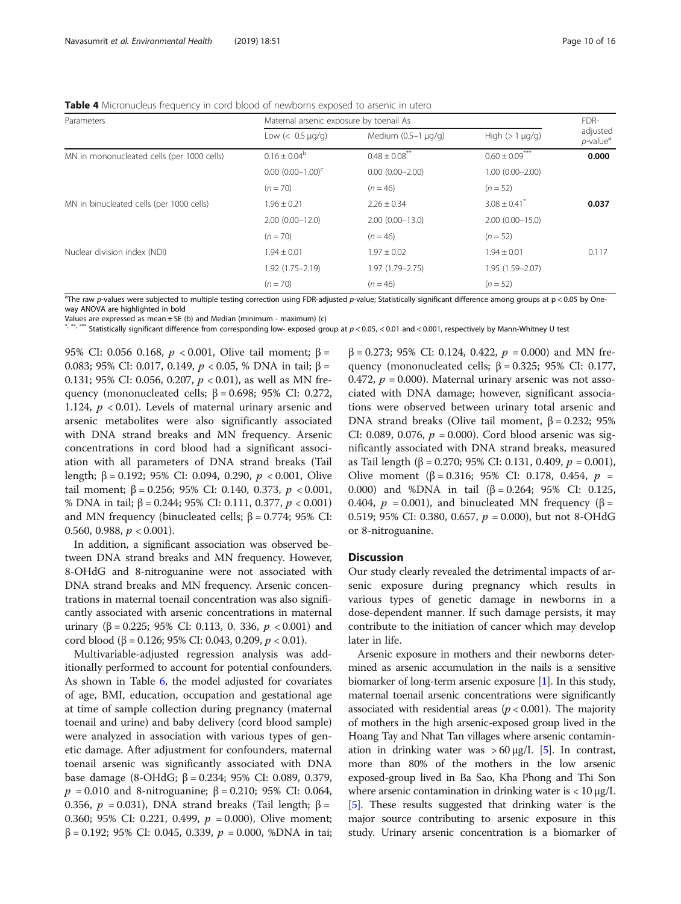<span id="page-9-0"></span>Table 4 Micronucleus frequency in cord blood of newborns exposed to arsenic in utero

| Parameters                                 | Maternal arsenic exposure by toenail As |                          |                                                                                                                                                                                                 | FDR-                                |
|--------------------------------------------|-----------------------------------------|--------------------------|-------------------------------------------------------------------------------------------------------------------------------------------------------------------------------------------------|-------------------------------------|
|                                            | Low $(< 0.5 \mu q/q)$                   | Medium $(0.5-1 \mu q/q)$ | High $(>1 \mu q/q)$<br>$***$<br>$0.60 \pm 0.09$<br>$1.00(0.00 - 2.00)$<br>$(n = 52)$<br>$3.08 \pm 0.41$<br>$2.00(0.00 - 15.0)$<br>$(n = 52)$<br>$1.94 \pm 0.01$<br>1.95 (1.59-2.07)<br>$(n=52)$ | adjusted<br>$p$ -value <sup>a</sup> |
| MN in mononucleated cells (per 1000 cells) | $0.16 \pm 0.04^b$                       | $0.48 \pm 0.08$ **       |                                                                                                                                                                                                 | 0.000                               |
|                                            | $0.00(0.00-1.00)^c$                     | $0.00(0.00 - 2.00)$      |                                                                                                                                                                                                 |                                     |
|                                            | $(n = 70)$                              | $(n = 46)$               |                                                                                                                                                                                                 |                                     |
| MN in binucleated cells (per 1000 cells)   | $1.96 \pm 0.21$                         | $2.26 \pm 0.34$          |                                                                                                                                                                                                 | 0.037                               |
|                                            | $2.00(0.00 - 12.0)$                     | $2.00(0.00 - 13.0)$      |                                                                                                                                                                                                 |                                     |
|                                            | $(n = 70)$                              | $(n = 46)$               |                                                                                                                                                                                                 |                                     |
| Nuclear division index (NDI)               | $1.94 \pm 0.01$                         | $1.97 \pm 0.02$          |                                                                                                                                                                                                 | 0.117                               |
|                                            | 1.92 (1.75-2.19)                        | 1.97 (1.79-2.75)         |                                                                                                                                                                                                 |                                     |
|                                            | $(n = 70)$                              | $(n=46)$                 |                                                                                                                                                                                                 |                                     |

<sup>a</sup>The raw p-values were subjected to multiple testing correction using FDR-adjusted p-value; Statistically significant difference among groups at p < 0.05 by Oneway ANOVA are highlighted in bold

Values are expressed as mean  $\pm$  SE (b) and Median (minimum - maximum) (c)

\*, \*\*, \*\*\* Statistically significant difference from corresponding low- exposed group at p < 0.05, < 0.01 and < 0.001, respectively by Mann-Whitney U test

95% CI: 0.056 0.168,  $p < 0.001$ , Olive tail moment; β = 0.083; 95% CI: 0.017, 0.149,  $p < 0.05$ , % DNA in tail; β = 0.131; 95% CI: 0.056, 0.207,  $p < 0.01$ ), as well as MN frequency (mononucleated cells;  $\beta = 0.698$ ; 95% CI: 0.272, 1.124,  $p < 0.01$ ). Levels of maternal urinary arsenic and arsenic metabolites were also significantly associated with DNA strand breaks and MN frequency. Arsenic concentrations in cord blood had a significant association with all parameters of DNA strand breaks (Tail length; β = 0.192; 95% CI: 0.094, 0.290,  $p < 0.001$ , Olive tail moment;  $β = 0.256$ ; 95% CI: 0.140, 0.373,  $p < 0.001$ , % DNA in tail;  $β = 0.244$ ; 95% CI: 0.111, 0.377,  $p < 0.001$ ) and MN frequency (binucleated cells;  $β = 0.774$ ; 95% CI: 0.560, 0.988,  $p < 0.001$ ).

In addition, a significant association was observed between DNA strand breaks and MN frequency. However, 8-OHdG and 8-nitroguanine were not associated with DNA strand breaks and MN frequency. Arsenic concentrations in maternal toenail concentration was also significantly associated with arsenic concentrations in maternal urinary (β = 0.225; 95% CI: 0.113, 0. 336,  $p < 0.001$ ) and cord blood (β = 0.126; 95% CI: 0.043, 0.209,  $p < 0.01$ ).

Multivariable-adjusted regression analysis was additionally performed to account for potential confounders. As shown in Table [6,](#page-11-0) the model adjusted for covariates of age, BMI, education, occupation and gestational age at time of sample collection during pregnancy (maternal toenail and urine) and baby delivery (cord blood sample) were analyzed in association with various types of genetic damage. After adjustment for confounders, maternal toenail arsenic was significantly associated with DNA base damage (8-OHdG; β = 0.234; 95% CI: 0.089, 0.379,  $p = 0.010$  and 8-nitroguanine; β = 0.210; 95% CI: 0.064, 0.356,  $p = 0.031$ ), DNA strand breaks (Tail length; β = 0.360; 95% CI: 0.221, 0.499,  $p = 0.000$ ), Olive moment;  $β = 0.192$ ; 95% CI: 0.045, 0.339,  $p = 0.000$ , %DNA in tai;

 $β = 0.273$ ; 95% CI: 0.124, 0.422,  $p = 0.000$ ) and MN frequency (mononucleated cells;  $β = 0.325$ ; 95% CI: 0.177, 0.472,  $p = 0.000$ ). Maternal urinary arsenic was not associated with DNA damage; however, significant associations were observed between urinary total arsenic and DNA strand breaks (Olive tail moment,  $β = 0.232$ ; 95% CI: 0.089, 0.076,  $p = 0.000$ ). Cord blood arsenic was significantly associated with DNA strand breaks, measured as Tail length (β = 0.270; 95% CI: 0.131, 0.409,  $p = 0.001$ ), Olive moment (β = 0.316; 95% CI: 0.178, 0.454,  $p =$ 0.000) and %DNA in tail (β = 0.264; 95% CI: 0.125, 0.404,  $p = 0.001$ ), and binucleated MN frequency (β = 0.519; 95% CI: 0.380, 0.657,  $p = 0.000$ ), but not 8-OHdG or 8-nitroguanine.

#### **Discussion**

Our study clearly revealed the detrimental impacts of arsenic exposure during pregnancy which results in various types of genetic damage in newborns in a dose-dependent manner. If such damage persists, it may contribute to the initiation of cancer which may develop later in life.

Arsenic exposure in mothers and their newborns determined as arsenic accumulation in the nails is a sensitive biomarker of long-term arsenic exposure [[1\]](#page-13-0). In this study, maternal toenail arsenic concentrations were significantly associated with residential areas ( $p < 0.001$ ). The majority of mothers in the high arsenic-exposed group lived in the Hoang Tay and Nhat Tan villages where arsenic contamination in drinking water was  $> 60 \mu g/L$  [\[5\]](#page-13-0). In contrast, more than 80% of the mothers in the low arsenic exposed-group lived in Ba Sao, Kha Phong and Thi Son where arsenic contamination in drinking water is  $< 10 \mu g/L$ [[5\]](#page-13-0). These results suggested that drinking water is the major source contributing to arsenic exposure in this study. Urinary arsenic concentration is a biomarker of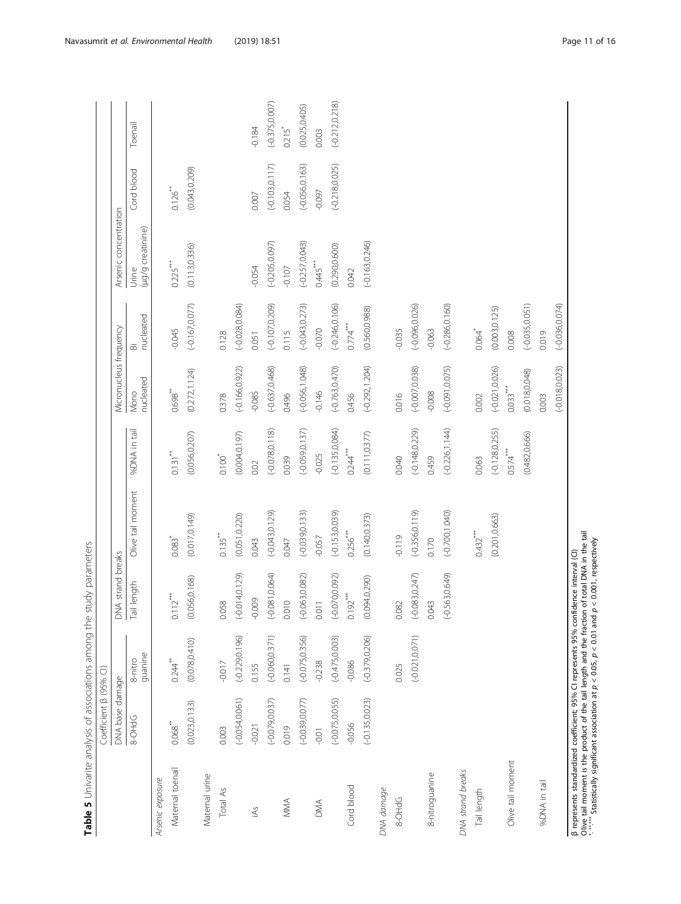| DNA base damage<br>(0.023, 0.133)<br>B-OHOG<br>$0.068$ <sup>**</sup><br>0.003<br>Maternal toenail<br>Maternal urine<br>Arsenic exposure<br>Total As |                    |                   |                        |                       |                        |                   |                            |                       |                      |
|-----------------------------------------------------------------------------------------------------------------------------------------------------|--------------------|-------------------|------------------------|-----------------------|------------------------|-------------------|----------------------------|-----------------------|----------------------|
|                                                                                                                                                     |                    | DNA strand breaks |                        |                       | Micronucleus frequency |                   | Arsenic concentration      |                       |                      |
|                                                                                                                                                     | guanine<br>8-nitro | Tail length       | Olive tail moment      | %DNA in tail          | nucleated<br>Mono      | nucleated<br>ä    | (µg/g creatinine)<br>Urine | Cord blood            | Toenail              |
|                                                                                                                                                     |                    |                   |                        |                       |                        |                   |                            |                       |                      |
|                                                                                                                                                     | 0.244              | $0.112***$        | $0.083$ <sup>*</sup>   | $0.131$ <sup>**</sup> | $0.698^{**}$           | $-0.045$          | $0.225***$                 | $0.126$ <sup>**</sup> |                      |
|                                                                                                                                                     | (0.078, 0.410)     | (0.056, 0.168)    | (0.017, 0.149)         | (0.056, 0.207)        | (0.272, 1.124)         | $(-0.167, 0.077)$ | (0.113, 0.336)             | (0.043, 0.209)        |                      |
|                                                                                                                                                     |                    |                   |                        |                       |                        |                   |                            |                       |                      |
|                                                                                                                                                     | $-0.017$           | 0.058             | $0.135***$             | 0.100                 | 0.378                  | 0.128             |                            |                       |                      |
| $(-0.054, 0.061)$                                                                                                                                   | $(-0.229, 0.196)$  | $(-0.014, 0.129)$ | (0.051, 0.220)         | (0.004, 0.197)        | $(-0.166, 0.922)$      | $(-0.028, 0.084)$ |                            |                       |                      |
| $-0.021$<br>iAs                                                                                                                                     | 0.155              | $-0.009$          | 0.043                  | 0.02                  | $-0.085$               | 0.051             | $-0.054$                   | 0.007                 | $-0.184$             |
| $(-0.079, 0.037)$                                                                                                                                   | $(-0.060, 0.371)$  | $(-0.081, 0.064)$ | $(-0.043, 0.129)$      | $(-0.078, 0.118)$     | $(-0.637, 0.468)$      | $(-0.107, 0.209)$ | $(-0.205, 0.097)$          | $(-0.103, 0.117)$     | $(-0.375, 0.007)$    |
| 0.019<br>MMA                                                                                                                                        | 0.141              | 0.010             | 0.047                  | 0.039                 | 0.496                  | 0.115             | $-0.107$                   | 0.054                 | $0.215$ <sup>*</sup> |
| $(-0.039, 0.077)$                                                                                                                                   | $(-0.075, 0.356)$  | $(-0.063, 0.082)$ | $(-0.039, 0.133)$      | $(-0.059, 0.137)$     | $(-0.056, 1.048)$      | $(-0.043, 0.273)$ | $(-0.257, 0.043)$          | $(-0.056, 0.163)$     | (0.025, 0.405)       |
| $-0.01$<br><b>DMA</b>                                                                                                                               | $-0.238$           | 0.011             | $-0.057$               | $-0.025$              | $-0.146$               | $-0.070$          | $0.445***$                 | -0.097                | 0.003                |
| $(-0.075, 0.055)$                                                                                                                                   | $(-0.475, 0.003)$  | $(-0.070, 0.092)$ | $(-0.153, 0.039)$      | $(-0.135, 0.084)$     | $(-0.763, 0.470)$      | $(-0.246, 0.106)$ | (0.290, 0.600)             | $(-0.218, 0.025)$     | $(-0.212, 0.218)$    |
| $-0.056$<br>Cord blood                                                                                                                              | $-0.086$           | $0.192***$        | $0.256***$             | $0.244***$            | 0.456                  | $0.774***$        | 0.042                      |                       |                      |
| $(-0.135, 0.023)$                                                                                                                                   | $(-0.379, 0.206)$  | (0.094, 0.290)    | (0.140, 0.373)         | (0.111, 0.377)        | $(-0.292, 1.204)$      | (0.560, 0.988)    | $(-0.163, 0.246)$          |                       |                      |
| DNA damage                                                                                                                                          |                    |                   |                        |                       |                        |                   |                            |                       |                      |
| 8-OHdG                                                                                                                                              | 0.025              | 0.082             | $-0.119$               | 0.040                 | 0.016                  | $-0.035$          |                            |                       |                      |
|                                                                                                                                                     | $(-0.021, 0.071)$  | $(-0.083, 0.247)$ | $(-0.356, 0.119)$      | $(-0.148, 0.229)$     | $(-0.007, 0.038)$      | $(-0.096, 0.026)$ |                            |                       |                      |
| 8-nitroguanine                                                                                                                                      |                    | 0.043             | 0.170                  | 0.459                 | $-0.008$               | $-0.063$          |                            |                       |                      |
|                                                                                                                                                     |                    | $(-0.563, 0.649)$ | $(-0.700, 1.040)$      | $(-0.226, 1.144)$     | $(-0.091, 0.075)$      | $(-0.286, 0.160)$ |                            |                       |                      |
| DNA strand breaks                                                                                                                                   |                    |                   |                        |                       |                        |                   |                            |                       |                      |
| Tail length                                                                                                                                         |                    |                   | $0.432$ <sup>***</sup> | 0.063                 | 0.002                  | 0.064             |                            |                       |                      |
|                                                                                                                                                     |                    |                   | (0.201, 0.663)         | $(-0.128, 0.255)$     | $(-0.021, 0.026)$      | (0.003, 0.125)    |                            |                       |                      |
| Olive tail moment                                                                                                                                   |                    |                   |                        | $0.574***$            | $0.033***$             | 0.008             |                            |                       |                      |
|                                                                                                                                                     |                    |                   |                        | (0.482, 0.666)        | (0.018, 0.048)         | $(-0.035, 0.051)$ |                            |                       |                      |
| %DNA in tail                                                                                                                                        |                    |                   |                        |                       | 0.003                  | 0.019             |                            |                       |                      |
|                                                                                                                                                     |                    |                   |                        |                       | $(-0.018, 0.023)$      | $(-0.036, 0.074)$ |                            |                       |                      |

<span id="page-10-0"></span>Navasumrit et al. Environmental Health (2019) 18:51 **Page 11 of 16** Page 11 of 16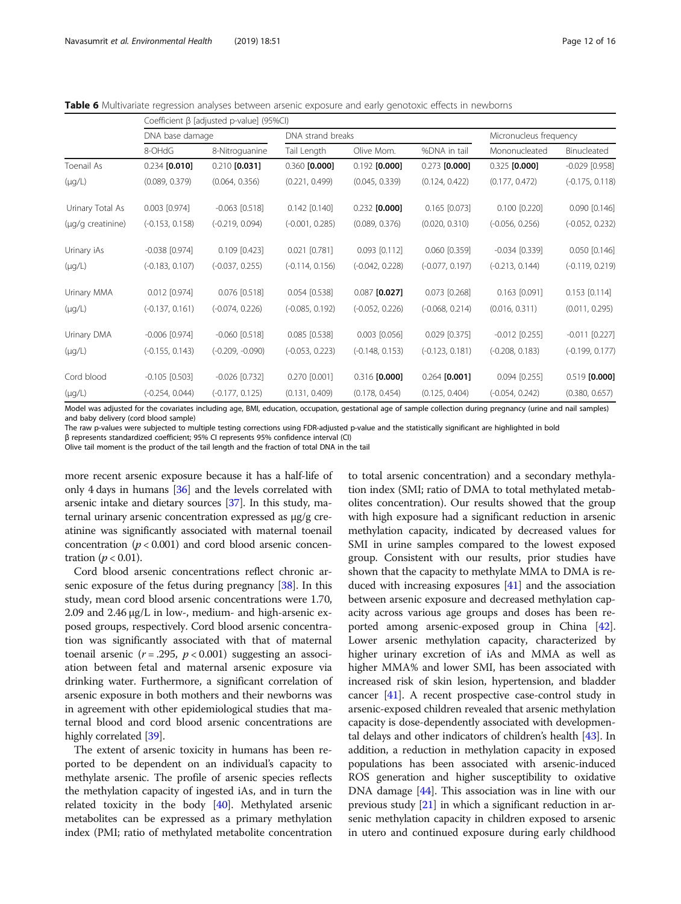<span id="page-11-0"></span>Table 6 Multivariate regression analyses between arsenic exposure and early genotoxic effects in newborns

|                   |                   | Coefficient $\beta$ [adjusted p-value] (95%CI) |                   |                   |                   |                        |                    |
|-------------------|-------------------|------------------------------------------------|-------------------|-------------------|-------------------|------------------------|--------------------|
|                   | DNA base damage   |                                                | DNA strand breaks |                   |                   | Micronucleus frequency |                    |
|                   | 8-OHdG            | 8-Nitroguanine                                 | Tail Length       | Olive Mom.        | %DNA in tail      | Mononucleated          | Binucleated        |
| Toenail As        | $0.234$ [0.010]   | $0.210$ [0.031]                                | $0.360$ [0.000]   | $0.192$ [0.000]   | $0.273$ [0.000]   | $0.325$ [0.000]        | $-0.029$ [0.958]   |
| $(\mu g/L)$       | (0.089, 0.379)    | (0.064, 0.356)                                 | (0.221, 0.499)    | (0.045, 0.339)    | (0.124, 0.422)    | (0.177, 0.472)         | $(-0.175, 0.118)$  |
| Urinary Total As  | $0.003$ $[0.974]$ | $-0.063$ [0.518]                               | $0.142$ $[0.140]$ | $0.232$ [0.000]   | $0.165$ $[0.073]$ | $0.100$ $[0.220]$      | $0.090$ $[0.146]$  |
| (µg/g creatinine) | $(-0.153, 0.158)$ | $(-0.219, 0.094)$                              | $(-0.001, 0.285)$ | (0.089, 0.376)    | (0.020, 0.310)    | $(-0.056, 0.256)$      | $(-0.052, 0.232)$  |
| Urinary iAs       | $-0.038$ [0.974]  | $0.109$ $[0.423]$                              | $0.021$ $[0.781]$ | $0.093$ $[0.112]$ | $0.060$ $[0.359]$ | $-0.034$ [0.339]       | 0.050 [0.146]      |
| $(\mu g/L)$       | $(-0.183, 0.107)$ | $(-0.037, 0.255)$                              | $(-0.114, 0.156)$ | $(-0.042, 0.228)$ | $(-0.077, 0.197)$ | $(-0.213, 0.144)$      | $(-0.119, 0.219)$  |
| Urinary MMA       | $0.012$ [0.974]   | 0.076 [0.518]                                  | $0.054$ [0.538]   | $0.087$ [0.027]   | $0.073$ $[0.268]$ | $0.163$ $[0.091]$      | $0.153$ [0.114]    |
| $(\mu g/L)$       | $(-0.137, 0.161)$ | $(-0.074, 0.226)$                              | $(-0.085, 0.192)$ | $(-0.052, 0.226)$ | $(-0.068, 0.214)$ | (0.016, 0.311)         | (0.011, 0.295)     |
| Urinary DMA       | $-0.006$ [0.974]  | $-0.060$ [0.518]                               | $0.085$ [0.538]   | $0.003$ $[0.056]$ | $0.029$ [0.375]   | $-0.012$ [0.255]       | $-0.011$ $[0.227]$ |
| $(\mu g/L)$       | $(-0.155, 0.143)$ | $(-0.209, -0.090)$                             | $(-0.053, 0.223)$ | $(-0.148, 0.153)$ | $(-0.123, 0.181)$ | $(-0.208, 0.183)$      | $(-0.199, 0.177)$  |
| Cord blood        | $-0.105$ [0.503]  | $-0.026$ [0.732]                               | $0.270$ $[0.001]$ | $0.316$ [0.000]   | $0.264$ [0.001]   | $0.094$ $[0.255]$      | $0.519$ [0.000]    |
| $(\mu q/L)$       | $(-0.254, 0.044)$ | $(-0.177, 0.125)$                              | (0.131, 0.409)    | (0.178, 0.454)    | (0.125, 0.404)    | $(-0.054, 0.242)$      | (0.380, 0.657)     |

including age, BMI, education, occupation, gestational age of sample collection during pregnancy (urine and nail samples) and baby delivery (cord blood sample)

The raw p-values were subjected to multiple testing corrections using FDR-adjusted p-value and the statistically significant are highlighted in bold

β represents standardized coefficient; 95% CI represents 95% confidence interval (CI)

Olive tail moment is the product of the tail length and the fraction of total DNA in the tail

more recent arsenic exposure because it has a half-life of only 4 days in humans [\[36\]](#page-14-0) and the levels correlated with arsenic intake and dietary sources [\[37\]](#page-14-0). In this study, maternal urinary arsenic concentration expressed as μg/g creatinine was significantly associated with maternal toenail concentration  $(p < 0.001)$  and cord blood arsenic concentration ( $p < 0.01$ ).

Cord blood arsenic concentrations reflect chronic arsenic exposure of the fetus during pregnancy [\[38\]](#page-14-0). In this study, mean cord blood arsenic concentrations were 1.70, 2.09 and 2.46 μg/L in low-, medium- and high-arsenic exposed groups, respectively. Cord blood arsenic concentration was significantly associated with that of maternal toenail arsenic ( $r = .295$ ,  $p < 0.001$ ) suggesting an association between fetal and maternal arsenic exposure via drinking water. Furthermore, a significant correlation of arsenic exposure in both mothers and their newborns was in agreement with other epidemiological studies that maternal blood and cord blood arsenic concentrations are highly correlated [\[39](#page-14-0)].

The extent of arsenic toxicity in humans has been reported to be dependent on an individual's capacity to methylate arsenic. The profile of arsenic species reflects the methylation capacity of ingested iAs, and in turn the related toxicity in the body [\[40\]](#page-14-0). Methylated arsenic metabolites can be expressed as a primary methylation index (PMI; ratio of methylated metabolite concentration

to total arsenic concentration) and a secondary methylation index (SMI; ratio of DMA to total methylated metabolites concentration). Our results showed that the group with high exposure had a significant reduction in arsenic methylation capacity, indicated by decreased values for SMI in urine samples compared to the lowest exposed group. Consistent with our results, prior studies have shown that the capacity to methylate MMA to DMA is reduced with increasing exposures [[41\]](#page-14-0) and the association between arsenic exposure and decreased methylation capacity across various age groups and doses has been reported among arsenic-exposed group in China [[42](#page-14-0)]. Lower arsenic methylation capacity, characterized by higher urinary excretion of iAs and MMA as well as higher MMA% and lower SMI, has been associated with increased risk of skin lesion, hypertension, and bladder cancer [[41](#page-14-0)]. A recent prospective case-control study in arsenic-exposed children revealed that arsenic methylation capacity is dose-dependently associated with developmental delays and other indicators of children's health [\[43\]](#page-14-0). In addition, a reduction in methylation capacity in exposed populations has been associated with arsenic-induced ROS generation and higher susceptibility to oxidative DNA damage [\[44](#page-14-0)]. This association was in line with our previous study [\[21](#page-14-0)] in which a significant reduction in arsenic methylation capacity in children exposed to arsenic in utero and continued exposure during early childhood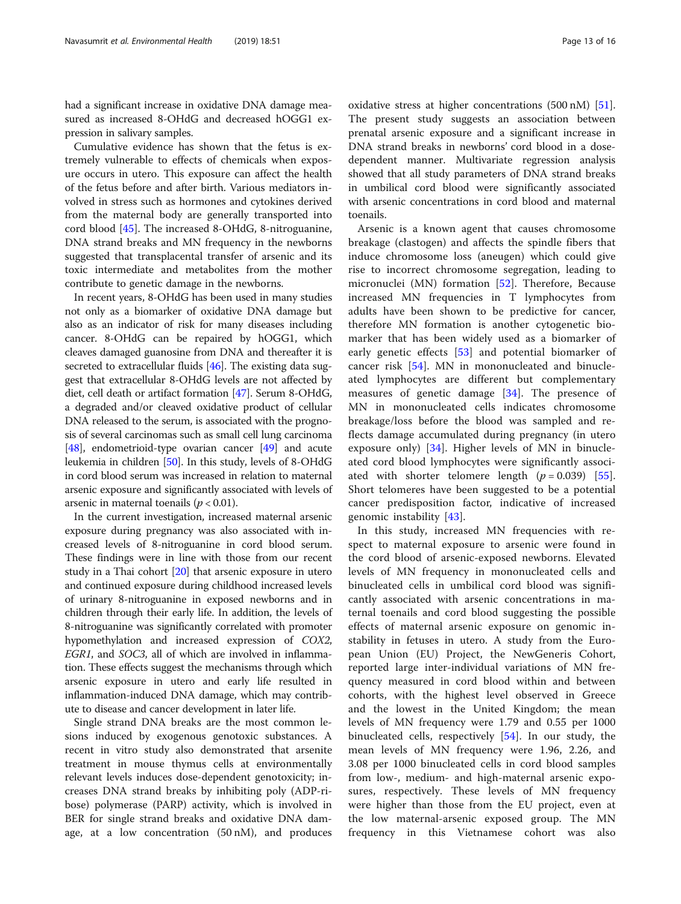had a significant increase in oxidative DNA damage measured as increased 8-OHdG and decreased hOGG1 expression in salivary samples.

Cumulative evidence has shown that the fetus is extremely vulnerable to effects of chemicals when exposure occurs in utero. This exposure can affect the health of the fetus before and after birth. Various mediators involved in stress such as hormones and cytokines derived from the maternal body are generally transported into cord blood [\[45](#page-14-0)]. The increased 8-OHdG, 8-nitroguanine, DNA strand breaks and MN frequency in the newborns suggested that transplacental transfer of arsenic and its toxic intermediate and metabolites from the mother contribute to genetic damage in the newborns.

In recent years, 8-OHdG has been used in many studies not only as a biomarker of oxidative DNA damage but also as an indicator of risk for many diseases including cancer. 8-OHdG can be repaired by hOGG1, which cleaves damaged guanosine from DNA and thereafter it is secreted to extracellular fluids [\[46](#page-14-0)]. The existing data suggest that extracellular 8-OHdG levels are not affected by diet, cell death or artifact formation [\[47\]](#page-14-0). Serum 8-OHdG, a degraded and/or cleaved oxidative product of cellular DNA released to the serum, is associated with the prognosis of several carcinomas such as small cell lung carcinoma [[48](#page-14-0)], endometrioid-type ovarian cancer [\[49\]](#page-14-0) and acute leukemia in children [[50](#page-14-0)]. In this study, levels of 8-OHdG in cord blood serum was increased in relation to maternal arsenic exposure and significantly associated with levels of arsenic in maternal toenails ( $p < 0.01$ ).

In the current investigation, increased maternal arsenic exposure during pregnancy was also associated with increased levels of 8-nitroguanine in cord blood serum. These findings were in line with those from our recent study in a Thai cohort [\[20\]](#page-14-0) that arsenic exposure in utero and continued exposure during childhood increased levels of urinary 8-nitroguanine in exposed newborns and in children through their early life. In addition, the levels of 8-nitroguanine was significantly correlated with promoter hypomethylation and increased expression of COX2, EGR1, and SOC3, all of which are involved in inflammation. These effects suggest the mechanisms through which arsenic exposure in utero and early life resulted in inflammation-induced DNA damage, which may contribute to disease and cancer development in later life.

Single strand DNA breaks are the most common lesions induced by exogenous genotoxic substances. A recent in vitro study also demonstrated that arsenite treatment in mouse thymus cells at environmentally relevant levels induces dose-dependent genotoxicity; increases DNA strand breaks by inhibiting poly (ADP-ribose) polymerase (PARP) activity, which is involved in BER for single strand breaks and oxidative DNA damage, at a low concentration (50 nM), and produces

oxidative stress at higher concentrations (500 nM) [\[51](#page-14-0)]. The present study suggests an association between prenatal arsenic exposure and a significant increase in DNA strand breaks in newborns' cord blood in a dosedependent manner. Multivariate regression analysis showed that all study parameters of DNA strand breaks in umbilical cord blood were significantly associated with arsenic concentrations in cord blood and maternal toenails.

Arsenic is a known agent that causes chromosome breakage (clastogen) and affects the spindle fibers that induce chromosome loss (aneugen) which could give rise to incorrect chromosome segregation, leading to micronuclei (MN) formation [[52\]](#page-14-0). Therefore, Because increased MN frequencies in T lymphocytes from adults have been shown to be predictive for cancer, therefore MN formation is another cytogenetic biomarker that has been widely used as a biomarker of early genetic effects [[53\]](#page-14-0) and potential biomarker of cancer risk [\[54](#page-15-0)]. MN in mononucleated and binucleated lymphocytes are different but complementary measures of genetic damage [[34\]](#page-14-0). The presence of MN in mononucleated cells indicates chromosome breakage/loss before the blood was sampled and reflects damage accumulated during pregnancy (in utero exposure only) [[34](#page-14-0)]. Higher levels of MN in binucleated cord blood lymphocytes were significantly associated with shorter telomere length  $(p = 0.039)$  [\[55](#page-15-0)]. Short telomeres have been suggested to be a potential cancer predisposition factor, indicative of increased genomic instability [[43\]](#page-14-0).

In this study, increased MN frequencies with respect to maternal exposure to arsenic were found in the cord blood of arsenic-exposed newborns. Elevated levels of MN frequency in mononucleated cells and binucleated cells in umbilical cord blood was significantly associated with arsenic concentrations in maternal toenails and cord blood suggesting the possible effects of maternal arsenic exposure on genomic instability in fetuses in utero. A study from the European Union (EU) Project, the NewGeneris Cohort, reported large inter-individual variations of MN frequency measured in cord blood within and between cohorts, with the highest level observed in Greece and the lowest in the United Kingdom; the mean levels of MN frequency were 1.79 and 0.55 per 1000 binucleated cells, respectively [[54\]](#page-15-0). In our study, the mean levels of MN frequency were 1.96, 2.26, and 3.08 per 1000 binucleated cells in cord blood samples from low-, medium- and high-maternal arsenic exposures, respectively. These levels of MN frequency were higher than those from the EU project, even at the low maternal-arsenic exposed group. The MN frequency in this Vietnamese cohort was also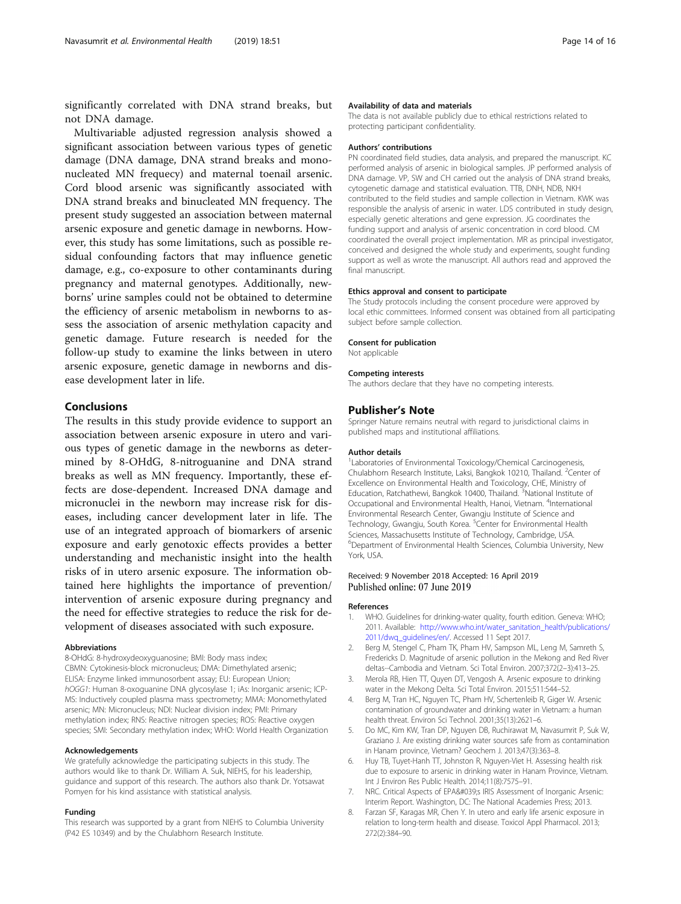<span id="page-13-0"></span>significantly correlated with DNA strand breaks, but not DNA damage.

Multivariable adjusted regression analysis showed a significant association between various types of genetic damage (DNA damage, DNA strand breaks and mononucleated MN frequecy) and maternal toenail arsenic. Cord blood arsenic was significantly associated with DNA strand breaks and binucleated MN frequency. The present study suggested an association between maternal arsenic exposure and genetic damage in newborns. However, this study has some limitations, such as possible residual confounding factors that may influence genetic damage, e.g., co-exposure to other contaminants during pregnancy and maternal genotypes. Additionally, newborns' urine samples could not be obtained to determine the efficiency of arsenic metabolism in newborns to assess the association of arsenic methylation capacity and genetic damage. Future research is needed for the follow-up study to examine the links between in utero arsenic exposure, genetic damage in newborns and disease development later in life.

#### Conclusions

The results in this study provide evidence to support an association between arsenic exposure in utero and various types of genetic damage in the newborns as determined by 8-OHdG, 8-nitroguanine and DNA strand breaks as well as MN frequency. Importantly, these effects are dose-dependent. Increased DNA damage and micronuclei in the newborn may increase risk for diseases, including cancer development later in life. The use of an integrated approach of biomarkers of arsenic exposure and early genotoxic effects provides a better understanding and mechanistic insight into the health risks of in utero arsenic exposure. The information obtained here highlights the importance of prevention/ intervention of arsenic exposure during pregnancy and the need for effective strategies to reduce the risk for development of diseases associated with such exposure.

#### Abbreviations

8-OHdG: 8-hydroxydeoxyguanosine; BMI: Body mass index; CBMN: Cytokinesis-block micronucleus; DMA: Dimethylated arsenic; ELISA: Enzyme linked immunosorbent assay; EU: European Union; hOGG1: Human 8-oxoguanine DNA glycosylase 1; iAs: Inorganic arsenic; ICP-MS: Inductively coupled plasma mass spectrometry; MMA: Monomethylated arsenic; MN: Micronucleus; NDI: Nuclear division index; PMI: Primary methylation index; RNS: Reactive nitrogen species; ROS: Reactive oxygen species; SMI: Secondary methylation index; WHO: World Health Organization

#### Acknowledgements

We gratefully acknowledge the participating subjects in this study. The authors would like to thank Dr. William A. Suk, NIEHS, for his leadership, guidance and support of this research. The authors also thank Dr. Yotsawat Pomyen for his kind assistance with statistical analysis.

#### Funding

This research was supported by a grant from NIEHS to Columbia University (P42 ES 10349) and by the Chulabhorn Research Institute.

#### Availability of data and materials

The data is not available publicly due to ethical restrictions related to protecting participant confidentiality.

#### Authors' contributions

PN coordinated field studies, data analysis, and prepared the manuscript. KC performed analysis of arsenic in biological samples. JP performed analysis of DNA damage. VP, SW and CH carried out the analysis of DNA strand breaks, cytogenetic damage and statistical evaluation. TTB, DNH, NDB, NKH contributed to the field studies and sample collection in Vietnam. KWK was responsible the analysis of arsenic in water. LDS contributed in study design. especially genetic alterations and gene expression. JG coordinates the funding support and analysis of arsenic concentration in cord blood. CM coordinated the overall project implementation. MR as principal investigator, conceived and designed the whole study and experiments, sought funding support as well as wrote the manuscript. All authors read and approved the final manuscript.

#### Ethics approval and consent to participate

The Study protocols including the consent procedure were approved by local ethic committees. Informed consent was obtained from all participating subject before sample collection.

#### Consent for publication

Not applicable

#### Competing interests

The authors declare that they have no competing interests.

#### Publisher's Note

Springer Nature remains neutral with regard to jurisdictional claims in published maps and institutional affiliations.

#### Author details

<sup>1</sup>Laboratories of Environmental Toxicology/Chemical Carcinogenesis, Chulabhorn Research Institute, Laksi, Bangkok 10210, Thailand. <sup>2</sup>Center of Excellence on Environmental Health and Toxicology, CHE, Ministry of Education, Ratchathewi, Bangkok 10400, Thailand.<sup>3</sup>National Institute of Occupational and Environmental Health, Hanoi, Vietnam. <sup>4</sup>International Environmental Research Center, Gwangju Institute of Science and Technology, Gwangju, South Korea. <sup>5</sup>Center for Environmental Health Sciences, Massachusetts Institute of Technology, Cambridge, USA. 6 Department of Environmental Health Sciences, Columbia University, New York, USA.

#### Received: 9 November 2018 Accepted: 16 April 2019 Published online: 07 June 2019

#### References

- 1. WHO. Guidelines for drinking-water quality, fourth edition. Geneva: WHO; 2011. Available: [http://www.who.int/water\\_sanitation\\_health/publications/](http://www.who.int/water_sanitation_health/publications/2011/dwq_guidelines/en/) [2011/dwq\\_guidelines/en/](http://www.who.int/water_sanitation_health/publications/2011/dwq_guidelines/en/). Accessed 11 Sept 2017.
- 2. Berg M, Stengel C, Pham TK, Pham HV, Sampson ML, Leng M, Samreth S, Fredericks D. Magnitude of arsenic pollution in the Mekong and Red River deltas--Cambodia and Vietnam. Sci Total Environ. 2007;372(2–3):413–25.
- 3. Merola RB, Hien TT, Quyen DT, Vengosh A. Arsenic exposure to drinking water in the Mekong Delta. Sci Total Environ. 2015;511:544–52.
- 4. Berg M, Tran HC, Nguyen TC, Pham HV, Schertenleib R, Giger W. Arsenic contamination of groundwater and drinking water in Vietnam: a human health threat. Environ Sci Technol. 2001;35(13):2621–6.
- 5. Do MC, Kim KW, Tran DP, Nguyen DB, Ruchirawat M, Navasumrit P, Suk W, Graziano J. Are existing drinking water sources safe from as contamination in Hanam province, Vietnam? Geochem J. 2013;47(3):363–8.
- 6. Huy TB, Tuyet-Hanh TT, Johnston R, Nguyen-Viet H. Assessing health risk due to exposure to arsenic in drinking water in Hanam Province, Vietnam. Int J Environ Res Public Health. 2014;11(8):7575–91.
- 7. NRC. Critical Aspects of EPA's IRIS Assessment of Inorganic Arsenic: Interim Report. Washington, DC: The National Academies Press; 2013.
- Farzan SF, Karagas MR, Chen Y. In utero and early life arsenic exposure in relation to long-term health and disease. Toxicol Appl Pharmacol. 2013; 272(2):384–90.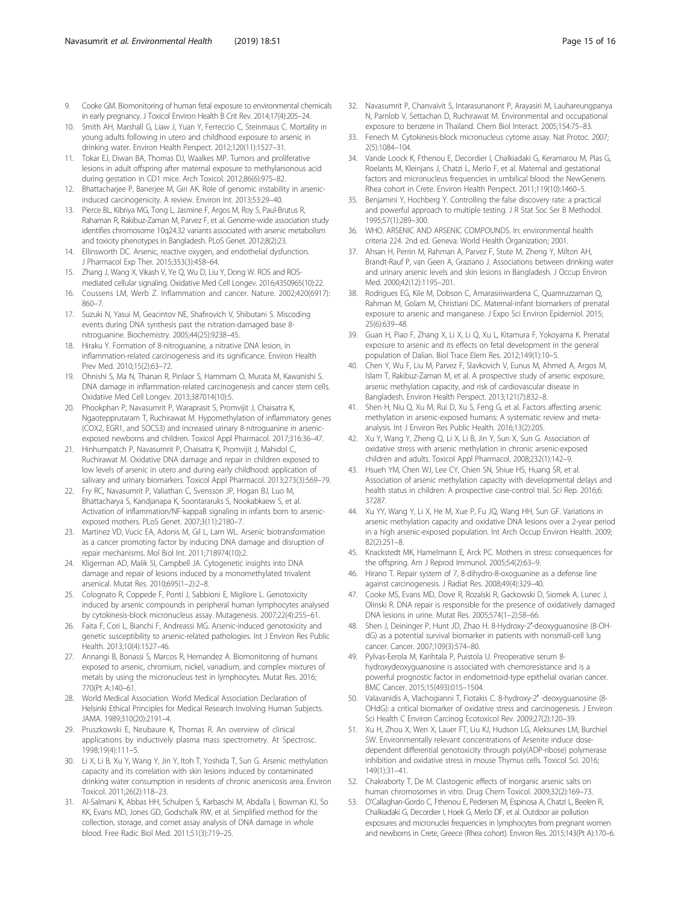- <span id="page-14-0"></span>9. Cooke GM. Biomonitoring of human fetal exposure to environmental chemicals in early pregnancy. J Toxicol Environ Health B Crit Rev. 2014;17(4):205–24.
- 10. Smith AH, Marshall G, Liaw J, Yuan Y, Ferreccio C, Steinmaus C. Mortality in young adults following in utero and childhood exposure to arsenic in drinking water. Environ Health Perspect. 2012;120(11):1527–31.
- 11. Tokar EJ, Diwan BA, Thomas DJ, Waalkes MP. Tumors and proliferative lesions in adult offspring after maternal exposure to methylarsonous acid during gestation in CD1 mice. Arch Toxicol. 2012;86(6):975–82.
- 12. Bhattacharjee P, Banerjee M, Giri AK. Role of genomic instability in arsenicinduced carcinogenicity. A review. Environ Int. 2013;53:29–40.
- 13. Pierce BL, Kibriya MG, Tong L, Jasmine F, Argos M, Roy S, Paul-Brutus R, Rahaman R, Rakibuz-Zaman M, Parvez F, et al. Genome-wide association study identifies chromosome 10q24.32 variants associated with arsenic metabolism and toxicity phenotypes in Bangladesh. PLoS Genet. 2012;8(2):23.
- 14. Ellinsworth DC. Arsenic, reactive oxygen, and endothelial dysfunction. J Pharmacol Exp Ther. 2015;353(3):458–64.
- 15. Zhang J, Wang X, Vikash V, Ye Q, Wu D, Liu Y, Dong W. ROS and ROSmediated cellular signaling. Oxidative Med Cell Longev. 2016;4350965(10):22.
- 16. Coussens LM, Werb Z. Inflammation and cancer. Nature. 2002;420(6917): 860–7.
- 17. Suzuki N, Yasui M, Geacintov NE, Shafirovich V, Shibutani S. Miscoding events during DNA synthesis past the nitration-damaged base 8 nitroguanine. Biochemistry. 2005;44(25):9238–45.
- 18. Hiraku Y. Formation of 8-nitroguanine, a nitrative DNA lesion, in inflammation-related carcinogenesis and its significance. Environ Health Prev Med. 2010;15(2):63–72.
- 19. Ohnishi S, Ma N, Thanan R, Pinlaor S, Hammam O, Murata M, Kawanishi S. DNA damage in inflammation-related carcinogenesis and cancer stem cells. Oxidative Med Cell Longev. 2013;387014(10):5.
- 20. Phookphan P, Navasumrit P, Waraprasit S, Promvijit J, Chaisatra K, Ngaotepprutaram T, Ruchirawat M. Hypomethylation of inflammatory genes (COX2, EGR1, and SOCS3) and increased urinary 8-nitroguanine in arsenicexposed newborns and children. Toxicol Appl Pharmacol. 2017;316:36–47.
- 21. Hinhumpatch P, Navasumrit P, Chaisatra K, Promvijit J, Mahidol C, Ruchirawat M. Oxidative DNA damage and repair in children exposed to low levels of arsenic in utero and during early childhood: application of salivary and urinary biomarkers. Toxicol Appl Pharmacol. 2013;273(3):569–79.
- 22. Fry RC, Navasumrit P, Valiathan C, Svensson JP, Hogan BJ, Luo M, Bhattacharya S, Kandjanapa K, Soontararuks S, Nookabkaew S, et al. Activation of inflammation/NF-kappaB signaling in infants born to arsenicexposed mothers. PLoS Genet. 2007;3(11):2180–7.
- 23. Martinez VD, Vucic EA, Adonis M, Gil L, Lam WL. Arsenic biotransformation as a cancer promoting factor by inducing DNA damage and disruption of repair mechanisms. Mol Biol Int. 2011;718974(10):2.
- 24. Kligerman AD, Malik SI, Campbell JA. Cytogenetic insights into DNA damage and repair of lesions induced by a monomethylated trivalent arsenical. Mutat Res. 2010;695(1–2):2–8.
- 25. Colognato R, Coppede F, Ponti J, Sabbioni E, Migliore L. Genotoxicity induced by arsenic compounds in peripheral human lymphocytes analysed by cytokinesis-block micronucleus assay. Mutagenesis. 2007;22(4):255–61.
- 26. Faita F, Cori L, Bianchi F, Andreassi MG. Arsenic-induced genotoxicity and genetic susceptibility to arsenic-related pathologies. Int J Environ Res Public Health. 2013;10(4):1527–46.
- 27. Annangi B, Bonassi S, Marcos R, Hernandez A. Biomonitoring of humans exposed to arsenic, chromium, nickel, vanadium, and complex mixtures of metals by using the micronucleus test in lymphocytes. Mutat Res. 2016; 770(Pt A:140–61.
- 28. World Medical Association. World Medical Association Declaration of Helsinki Ethical Principles for Medical Research Involving Human Subjects. JAMA. 1989;310(20):2191–4.
- 29. Pruszkowski E, Neubaure K, Thomas R. An overview of clinical applications by inductively plasma mass spectrometry. At Spectrosc. 1998;19(4):111–5.
- 30. Li X, Li B, Xu Y, Wang Y, Jin Y, Itoh T, Yoshida T, Sun G. Arsenic methylation capacity and its correlation with skin lesions induced by contaminated drinking water consumption in residents of chronic arsenicosis area. Environ Toxicol. 2011;26(2):118–23.
- 31. Al-Salmani K, Abbas HH, Schulpen S, Karbaschi M, Abdalla I, Bowman KJ, So KK, Evans MD, Jones GD, Godschalk RW, et al. Simplified method for the collection, storage, and comet assay analysis of DNA damage in whole blood. Free Radic Biol Med. 2011;51(3):719–25.
- 32. Navasumrit P, Chanvaivit S, Intarasunanont P, Arayasiri M, Lauhareungpanya N, Parnlob V, Settachan D, Ruchirawat M. Environmental and occupational exposure to benzene in Thailand. Chem Biol Interact. 2005;154:75–83.
- 33. Fenech M. Cytokinesis-block micronucleus cytome assay. Nat Protoc. 2007; 2(5):1084–104.
- 34. Vande Loock K, Fthenou E, Decordier I, Chalkiadaki G, Keramarou M, Plas G, Roelants M, Kleinjans J, Chatzi L, Merlo F, et al. Maternal and gestational factors and micronucleus frequencies in umbilical blood: the NewGeneris Rhea cohort in Crete. Environ Health Perspect. 2011;119(10):1460–5.
- 35. Benjamini Y, Hochberg Y. Controlling the false discovery rate: a practical and powerful approach to multiple testing. J R Stat Soc Ser B Methodol. 1995;57(1):289–300.
- 36. WHO. ARSENIC AND ARSENIC COMPOUNDS. In: environmental health criteria 224. 2nd ed. Geneva: World Health Organization; 2001.
- 37. Ahsan H, Perrin M, Rahman A, Parvez F, Stute M, Zheng Y, Milton AH, Brandt-Rauf P, van Geen A, Graziano J. Associations between drinking water and urinary arsenic levels and skin lesions in Bangladesh. J Occup Environ Med. 2000;42(12):1195–201.
- 38. Rodrigues EG, Kile M, Dobson C, Amarasiriwardena C, Quamruzzaman Q, Rahman M, Golam M, Christiani DC. Maternal-infant biomarkers of prenatal exposure to arsenic and manganese. J Expo Sci Environ Epidemiol. 2015; 25(6):639–48.
- 39. Guan H, Piao F, Zhang X, Li X, Li Q, Xu L, Kitamura F, Yokoyama K. Prenatal exposure to arsenic and its effects on fetal development in the general population of Dalian. Biol Trace Elem Res. 2012;149(1):10–5.
- 40. Chen Y, Wu F, Liu M, Parvez F, Slavkovich V, Eunus M, Ahmed A, Argos M, Islam T, Rakibuz-Zaman M, et al. A prospective study of arsenic exposure, arsenic methylation capacity, and risk of cardiovascular disease in Bangladesh. Environ Health Perspect. 2013;121(7):832–8.
- 41. Shen H, Niu Q, Xu M, Rui D, Xu S, Feng G, et al. Factors affecting arsenic methylation in arsenic-exposed humans: A systematic review and metaanalysis. Int J Environ Res Public Health. 2016;13(2):205.
- 42. Xu Y, Wang Y, Zheng Q, Li X, Li B, Jin Y, Sun X, Sun G. Association of oxidative stress with arsenic methylation in chronic arsenic-exposed children and adults. Toxicol Appl Pharmacol. 2008;232(1):142–9.
- 43. Hsueh YM, Chen WJ, Lee CY, Chien SN, Shiue HS, Huang SR, et al. Association of arsenic methylation capacity with developmental delays and health status in children: A prospective case-control trial. Sci Rep. 2016;6: 37287.
- 44. Xu YY, Wang Y, Li X, He M, Xue P, Fu JQ, Wang HH, Sun GF. Variations in arsenic methylation capacity and oxidative DNA lesions over a 2-year period in a high arsenic-exposed population. Int Arch Occup Environ Health. 2009; 82(2):251–8.
- 45. Knackstedt MK, Hamelmann E, Arck PC. Mothers in stress: consequences for the offspring. Am J Reprod Immunol. 2005;54(2):63–9.
- 46. Hirano T. Repair system of 7, 8-dihydro-8-oxoguanine as a defense line against carcinogenesis. J Radiat Res. 2008;49(4):329–40.
- 47. Cooke MS, Evans MD, Dove R, Rozalski R, Gackowski D, Siomek A, Lunec J, Olinski R. DNA repair is responsible for the presence of oxidatively damaged DNA lesions in urine. Mutat Res. 2005;574(1–2):58–66.
- 48. Shen J, Deininger P, Hunt JD, Zhao H. 8-Hydroxy-2′-deoxyguanosine (8-OHdG) as a potential survival biomarker in patients with nonsmall-cell lung cancer. Cancer. 2007;109(3):574–80.
- 49. Pylvas-Eerola M, Karihtala P, Puistola U. Preoperative serum 8 hydroxydeoxyguanosine is associated with chemoresistance and is a powerful prognostic factor in endometrioid-type epithelial ovarian cancer. BMC Cancer. 2015;15(493):015–1504.
- 50. Valavanidis A, Vlachogianni T, Fiotakis C. 8-hydroxy-2′ -deoxyguanosine (8- OHdG): a critical biomarker of oxidative stress and carcinogenesis. J Environ Sci Health C Environ Carcinog Ecotoxicol Rev. 2009;27(2):120–39.
- 51. Xu H, Zhou X, Wen X, Lauer FT, Liu KJ, Hudson LG, Aleksunes LM, Burchiel SW. Environmentally relevant concentrations of Arsenite induce dosedependent differential genotoxicity through poly(ADP-ribose) polymerase inhibition and oxidative stress in mouse Thymus cells. Toxicol Sci. 2016; 149(1):31–41.
- 52. Chakraborty T, De M. Clastogenic effects of inorganic arsenic salts on human chromosomes in vitro. Drug Chem Toxicol. 2009;32(2):169–73.
- 53. O'Callaghan-Gordo C, Fthenou E, Pedersen M, Espinosa A, Chatzi L, Beelen R, Chalkiadaki G, Decordier I, Hoek G, Merlo DF, et al. Outdoor air pollution exposures and micronuclei frequencies in lymphocytes from pregnant women and newborns in Crete, Greece (Rhea cohort). Environ Res. 2015;143(Pt A):170–6.